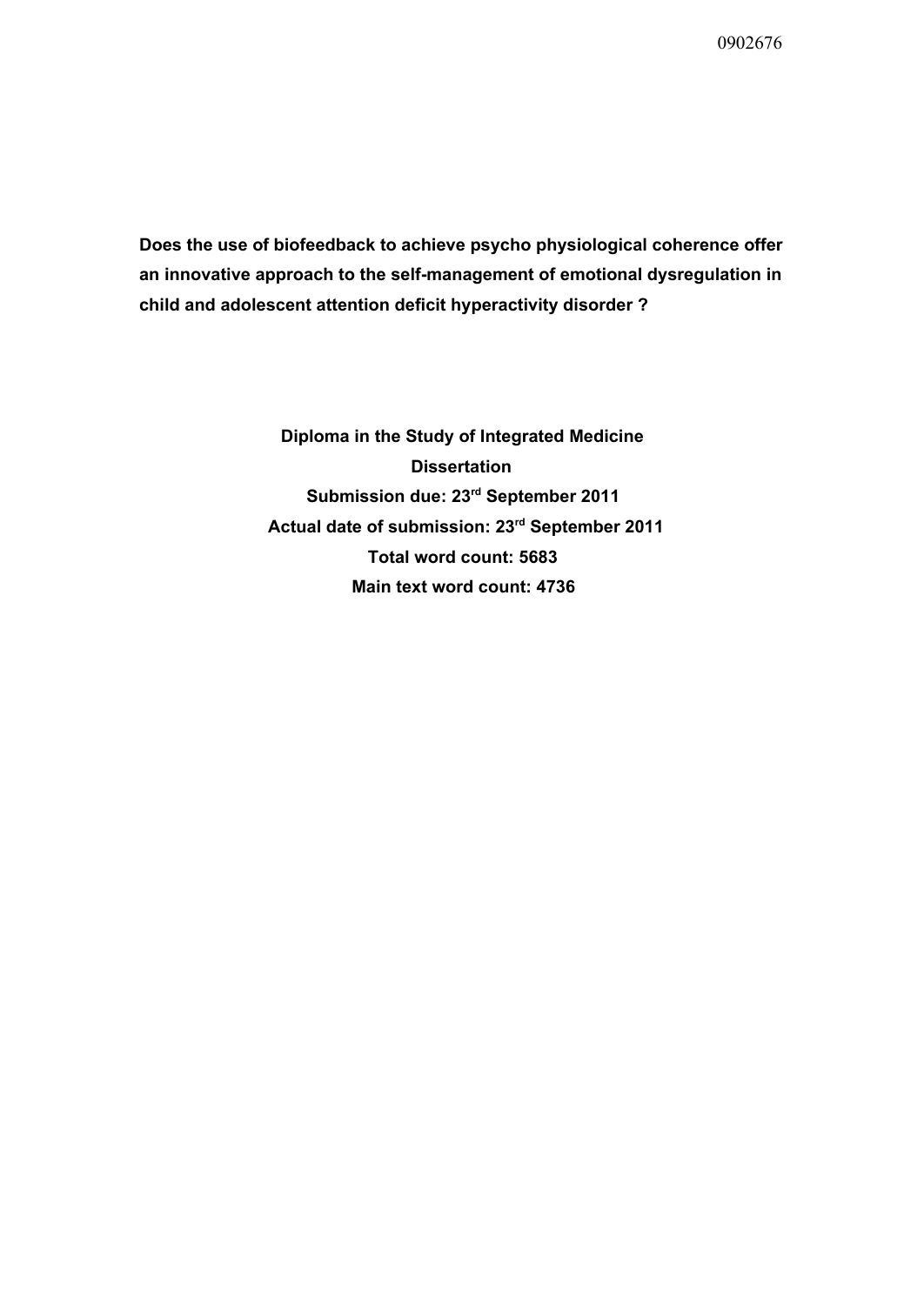**Does the use of biofeedback to achieve psycho physiological coherence offer an innovative approach to the selfmanagement of emotional dysregulation in child and adolescent attention deficit hyperactivity disorder ?**

> **Diploma in the Study of Integrated Medicine Dissertation Submission due: 23 rd September 2011 Actual date of submission: 23 rd September 2011 Total word count: 5683 Main text word count: 4736**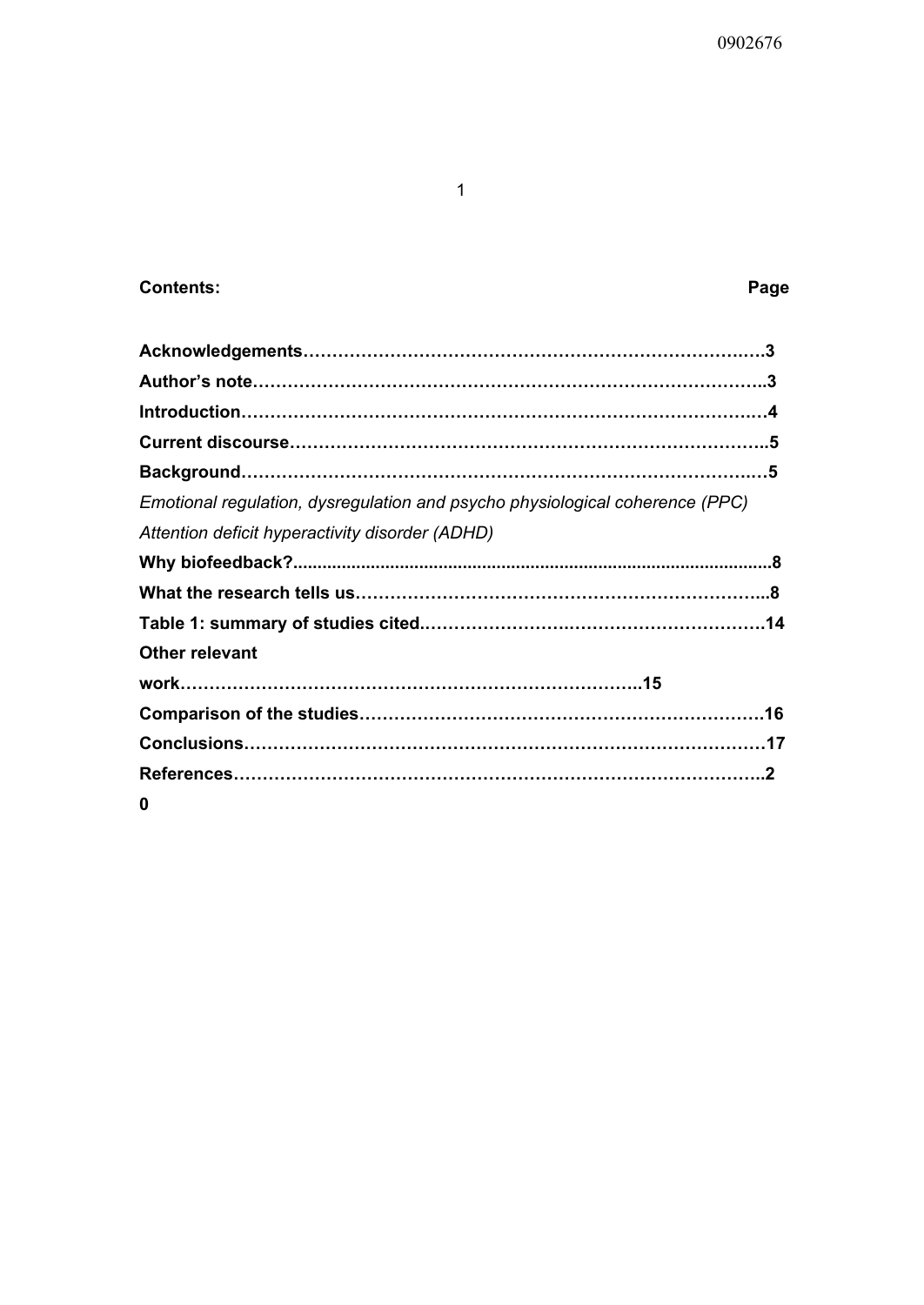# **Contents: Page**

| Emotional regulation, dysregulation and psycho physiological coherence (PPC) |
|------------------------------------------------------------------------------|
| Attention deficit hyperactivity disorder (ADHD)                              |
|                                                                              |
|                                                                              |
|                                                                              |
| <b>Other relevant</b>                                                        |
|                                                                              |
|                                                                              |
|                                                                              |
|                                                                              |
| 0                                                                            |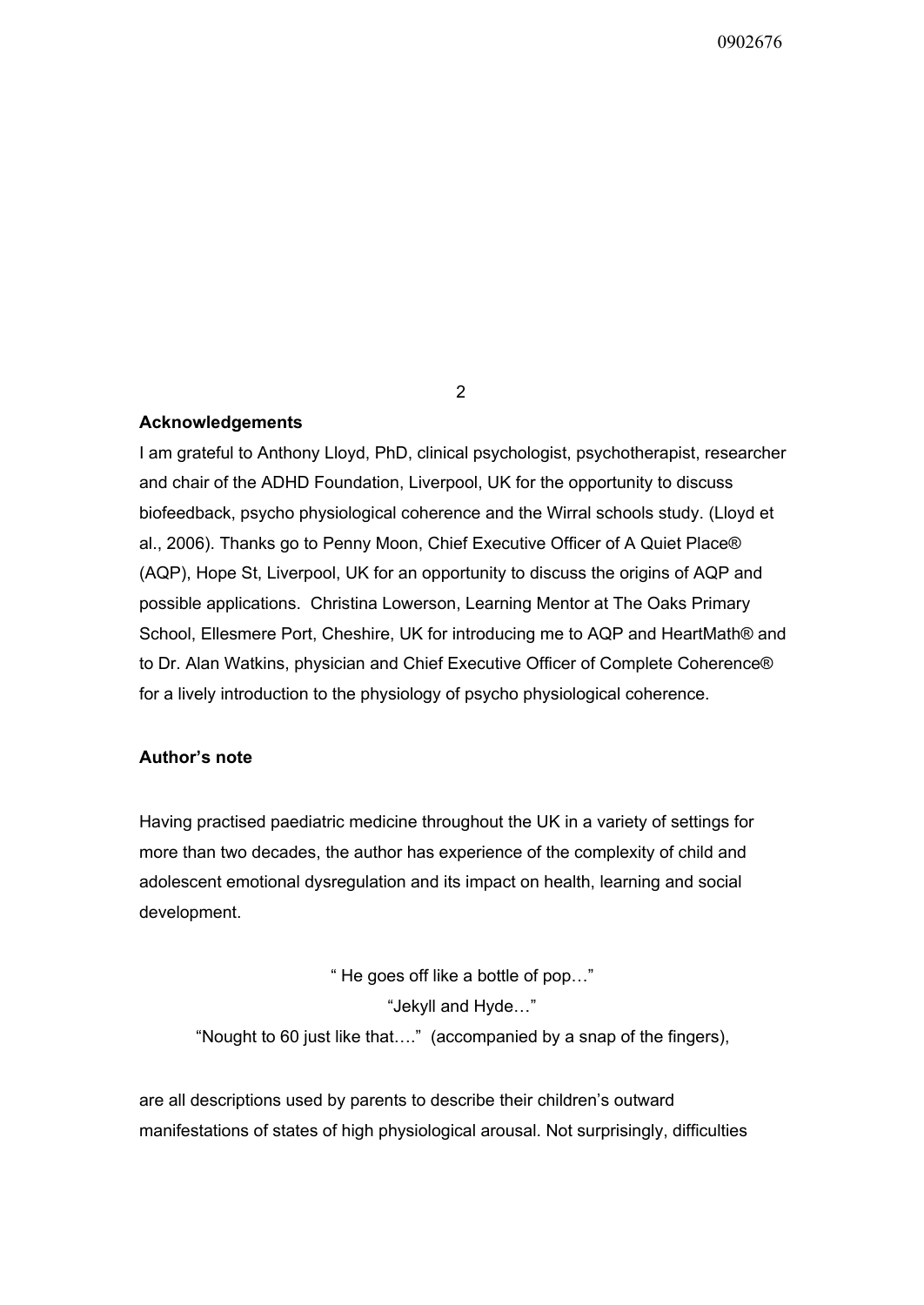## **Acknowledgements**

I am grateful to Anthony Lloyd, PhD, clinical psychologist, psychotherapist, researcher and chair of the ADHD Foundation, Liverpool, UK for the opportunity to discuss biofeedback, psycho physiological coherence and the Wirral schools study. (Lloyd et al., 2006). Thanks go to Penny Moon, Chief Executive Officer of A Quiet Place® (AQP), Hope St, Liverpool, UK for an opportunity to discuss the origins of AQP and possible applications. Christina Lowerson, Learning Mentor at The Oaks Primary School, Ellesmere Port, Cheshire, UK for introducing me to AQP and HeartMath® and to Dr. Alan Watkins, physician and Chief Executive Officer of Complete Coherence® for a lively introduction to the physiology of psycho physiological coherence.

## **Author's note**

Having practised paediatric medicine throughout the UK in a variety of settings for more than two decades, the author has experience of the complexity of child and adolescent emotional dysregulation and its impact on health, learning and social development.

" He goes off like a bottle of pop…" "Jekyll and Hyde…" "Nought to 60 just like that…." (accompanied by a snap of the fingers),

are all descriptions used by parents to describe their children's outward manifestations of states of high physiological arousal. Not surprisingly, difficulties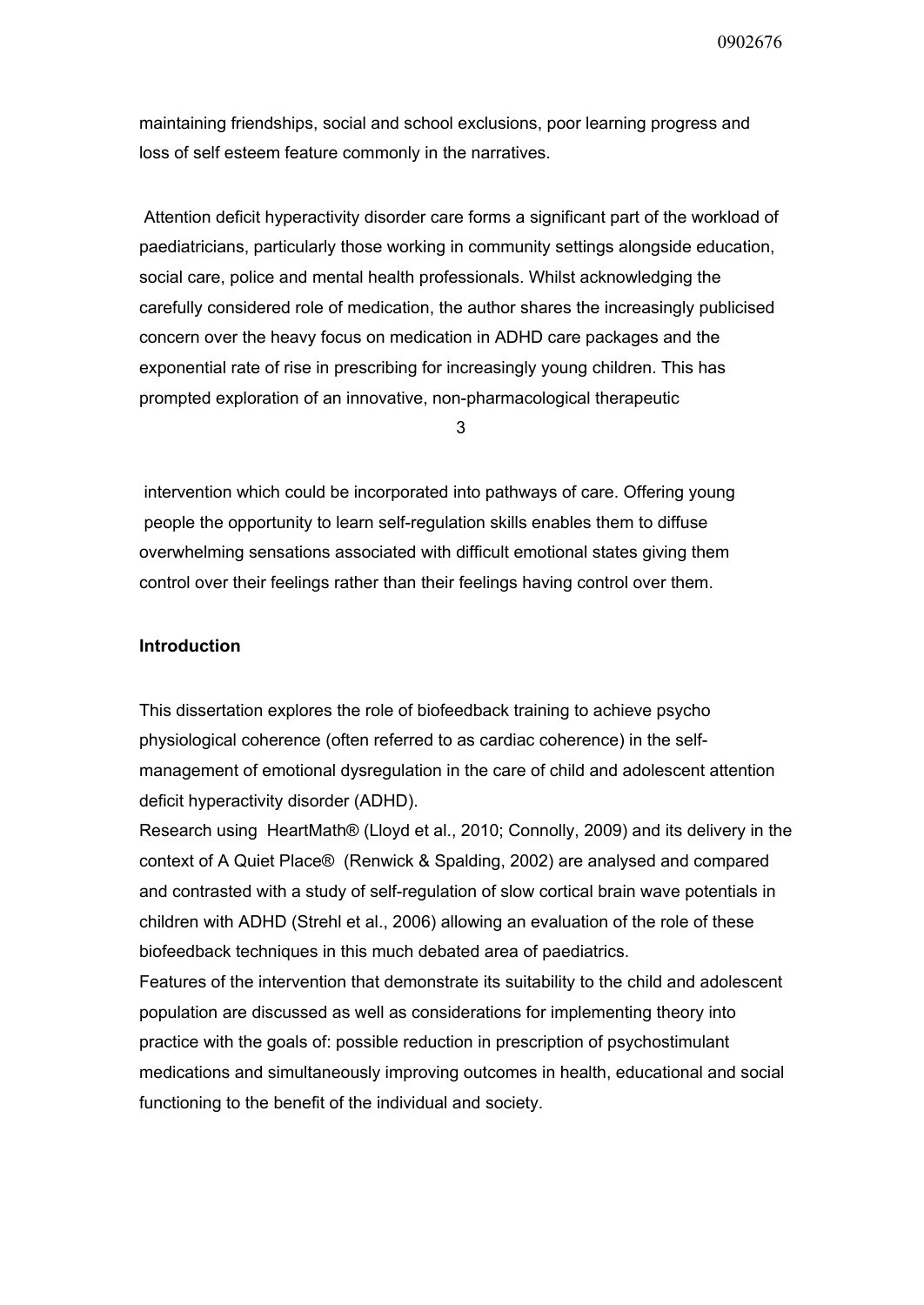maintaining friendships, social and school exclusions, poor learning progress and loss of self esteem feature commonly in the narratives.

Attention deficit hyperactivity disorder care forms a significant part of the workload of paediatricians, particularly those working in community settings alongside education, social care, police and mental health professionals. Whilst acknowledging the carefully considered role of medication, the author shares the increasingly publicised concern over the heavy focus on medication in ADHD care packages and the exponential rate of rise in prescribing for increasingly young children. This has prompted exploration of an innovative, non-pharmacological therapeutic

3

intervention which could be incorporated into pathways of care. Offering young people the opportunity to learn self-regulation skills enables them to diffuse overwhelming sensations associated with difficult emotional states giving them control over their feelings rather than their feelings having control over them.

## **Introduction**

This dissertation explores the role of biofeedback training to achieve psycho physiological coherence (often referred to as cardiac coherence) in the selfmanagement of emotional dysregulation in the care of child and adolescent attention deficit hyperactivity disorder (ADHD).

Research using HeartMath® (Lloyd et al., 2010; Connolly, 2009) and its delivery in the context of A Quiet Place® (Renwick & Spalding, 2002) are analysed and compared and contrasted with a study of self-regulation of slow cortical brain wave potentials in children with ADHD (Strehl et al., 2006) allowing an evaluation of the role of these biofeedback techniques in this much debated area of paediatrics.

Features of the intervention that demonstrate its suitability to the child and adolescent population are discussed as well as considerations for implementing theory into practice with the goals of: possible reduction in prescription of psychostimulant medications and simultaneously improving outcomes in health, educational and social functioning to the benefit of the individual and society.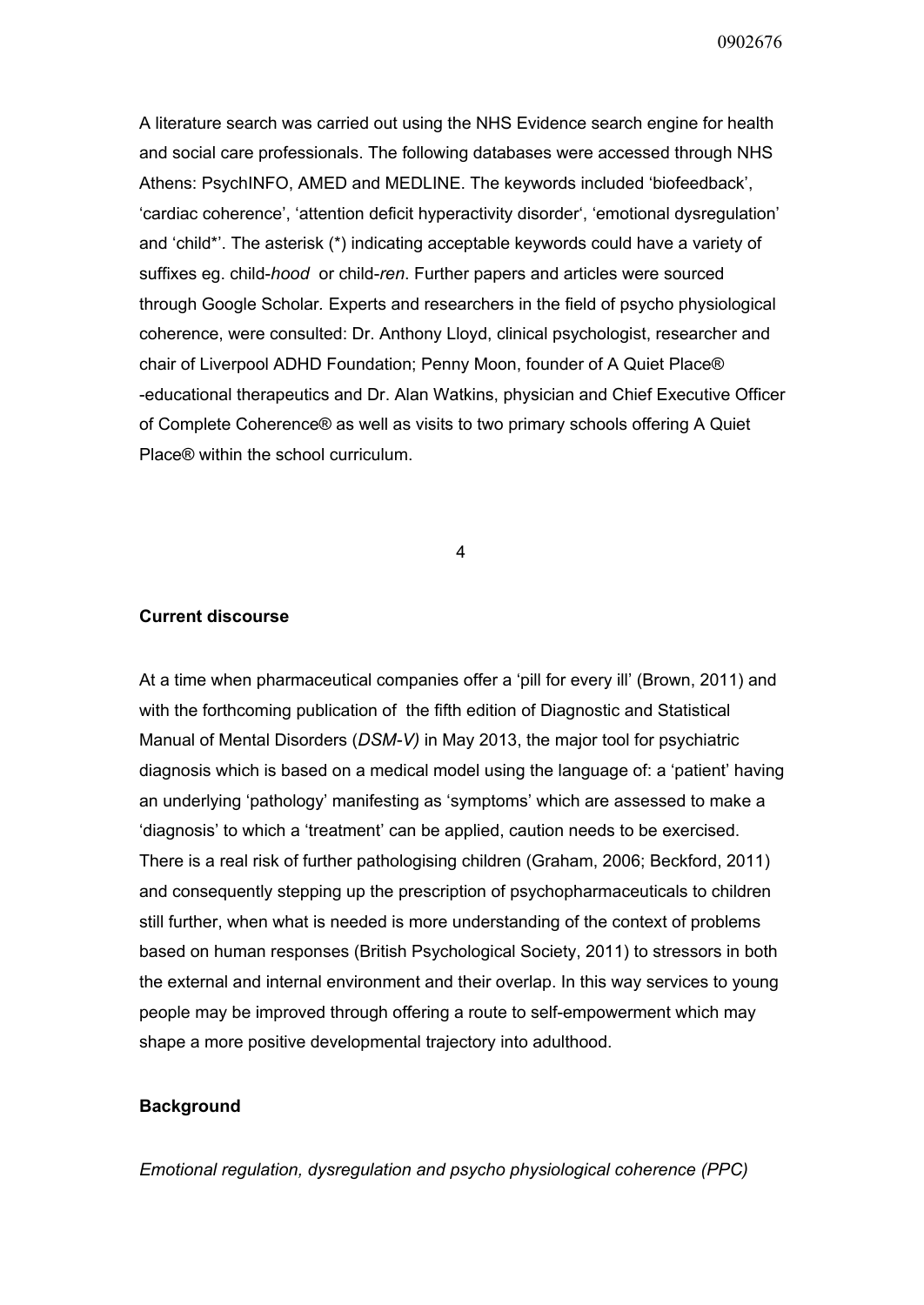A literature search was carried out using the NHS Evidence search engine for health and social care professionals. The following databases were accessed through NHS Athens: PsychINFO, AMED and MEDLINE. The keywords included 'biofeedback', 'cardiac coherence', 'attention deficit hyperactivity disorder', 'emotional dysregulation' and 'child\*'. The asterisk (\*) indicating acceptable keywords could have a variety of suffixes eg. child-*hood* or child-ren. Further papers and articles were sourced through Google Scholar*.* Experts and researchers in the field of psycho physiological coherence, were consulted: Dr. Anthony Lloyd, clinical psychologist, researcher and chair of Liverpool ADHD Foundation; Penny Moon, founder of A Quiet Place® educational therapeutics and Dr. Alan Watkins, physician and Chief Executive Officer of Complete Coherence® as well as visits to two primary schools offering A Quiet Place® within the school curriculum.

4

## **Current discourse**

At a time when pharmaceutical companies offer a 'pill for every ill' (Brown, 2011) and with the forthcoming publication of the fifth edition of Diagnostic and Statistical Manual of Mental Disorders (DSM-V) in May 2013, the major tool for psychiatric diagnosis which is based on a medical model using the language of: a 'patient' having an underlying 'pathology' manifesting as 'symptoms' which are assessed to make a 'diagnosis' to which a 'treatment' can be applied, caution needs to be exercised. There is a real risk of further pathologising children (Graham, 2006; Beckford, 2011) and consequently stepping up the prescription of psychopharmaceuticals to children still further, when what is needed is more understanding of the context of problems based on human responses (British Psychological Society, 2011) to stressors in both the external and internal environment and their overlap. In this way services to young people may be improved through offering a route to self-empowerment which may shape a more positive developmental trajectory into adulthood.

## **Background**

*Emotional regulation, dysregulation and psycho physiological coherence (PPC)*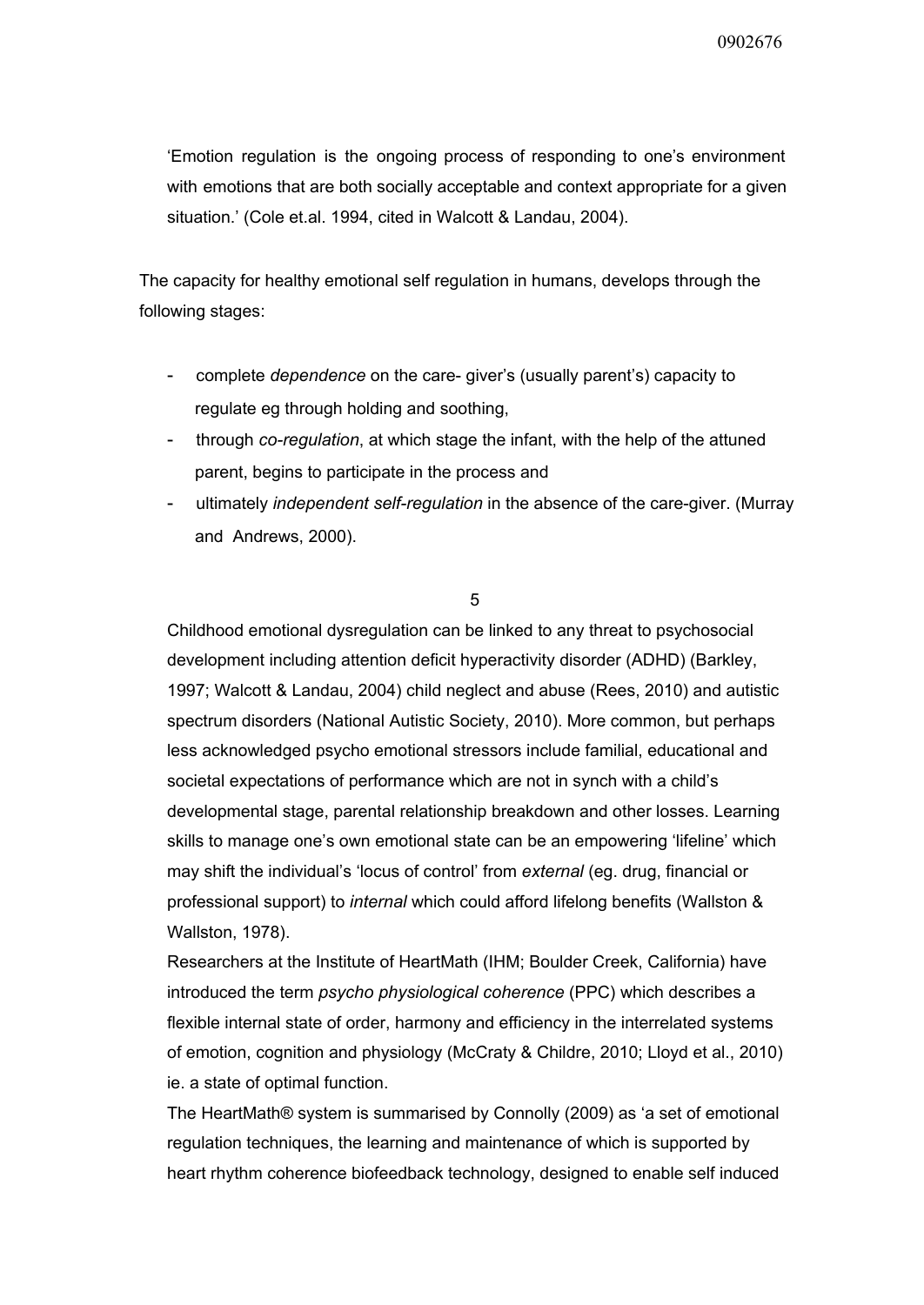'Emotion regulation is the ongoing process of responding to one's environment with emotions that are both socially acceptable and context appropriate for a given situation.' (Cole et.al. 1994, cited in Walcott & Landau, 2004).

The capacity for healthy emotional self regulation in humans, develops through the following stages:

- complete *dependence* on the care-giver's (usually parent's) capacity to regulate eg through holding and soothing,
- through *coregulation*, at which stage the infant, with the help of the attuned parent, begins to participate in the process and
- ultimately *independent self-regulation* in the absence of the care-giver. (Murray and Andrews, 2000).

## 5

Childhood emotional dysregulation can be linked to any threat to psychosocial development including attention deficit hyperactivity disorder (ADHD) (Barkley, 1997; Walcott & Landau, 2004) child neglect and abuse (Rees, 2010) and autistic spectrum disorders (National Autistic Society, 2010). More common, but perhaps less acknowledged psycho emotional stressors include familial, educational and societal expectations of performance which are not in synch with a child's developmental stage, parental relationship breakdown and other losses. Learning skills to manage one's own emotional state can be an empowering 'lifeline' which may shift the individual's 'locus of control' from *external* (eg. drug, financial or professional support) to *internal* which could afford lifelong benefits (Wallston & Wallston, 1978).

Researchers at the Institute of HeartMath (IHM; Boulder Creek, California) have introduced the term *psycho physiological coherence* (PPC) which describes a flexible internal state of order, harmony and efficiency in the interrelated systems of emotion, cognition and physiology (McCraty & Childre, 2010; Lloyd et al., 2010) ie. a state of optimal function.

The HeartMath® system is summarised by Connolly (2009) as 'a set of emotional regulation techniques, the learning and maintenance of which is supported by heart rhythm coherence biofeedback technology, designed to enable self induced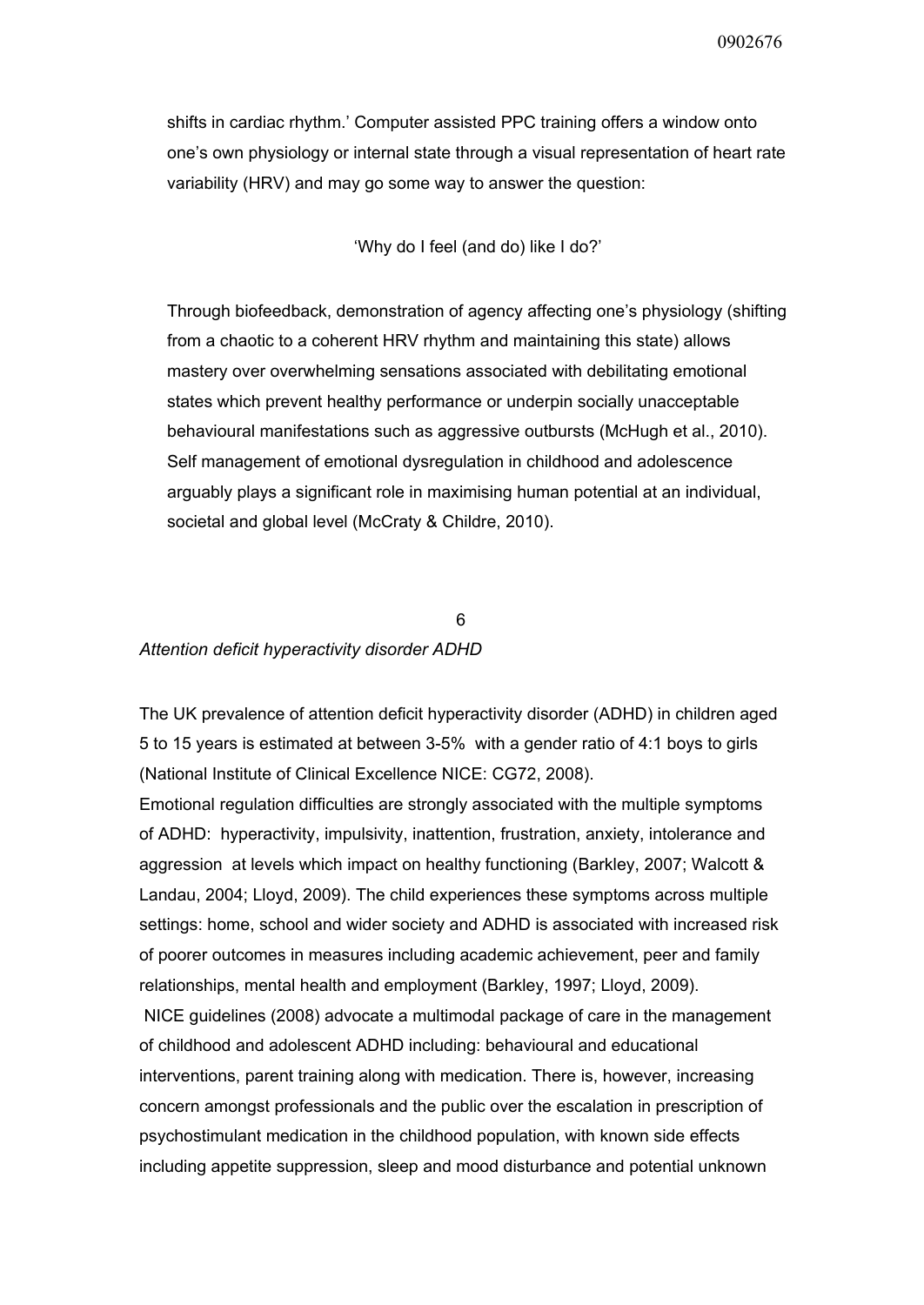shifts in cardiac rhythm.' Computer assisted PPC training offers a window onto one's own physiology or internal state through a visual representation of heart rate variability (HRV) and may go some way to answer the question:

'Why do I feel (and do) like I do?'

Through biofeedback, demonstration of agency affecting one's physiology (shifting from a chaotic to a coherent HRV rhythm and maintaining this state) allows mastery over overwhelming sensations associated with debilitating emotional states which prevent healthy performance or underpin socially unacceptable behavioural manifestations such as aggressive outbursts (McHugh et al., 2010). Self management of emotional dysregulation in childhood and adolescence arguably plays a significant role in maximising human potential at an individual, societal and global level (McCraty & Childre, 2010).

## 6 *Attention deficit hyperactivity disorder ADHD*

The UK prevalence of attention deficit hyperactivity disorder (ADHD) in children aged 5 to 15 years is estimated at between 35% with a gender ratio of 4:1 boys to girls (National Institute of Clinical Excellence NICE: CG72, 2008).

Emotional regulation difficulties are strongly associated with the multiple symptoms of ADHD: hyperactivity, impulsivity, inattention, frustration, anxiety, intolerance and aggression at levels which impact on healthy functioning (Barkley, 2007; Walcott & Landau, 2004; Lloyd, 2009). The child experiences these symptoms across multiple settings: home, school and wider society and ADHD is associated with increased risk of poorer outcomes in measures including academic achievement, peer and family relationships, mental health and employment (Barkley, 1997; Lloyd, 2009).

NICE guidelines (2008) advocate a multimodal package of care in the management of childhood and adolescent ADHD including: behavioural and educational interventions, parent training along with medication. There is, however, increasing concern amongst professionals and the public over the escalation in prescription of psychostimulant medication in the childhood population, with known side effects including appetite suppression, sleep and mood disturbance and potential unknown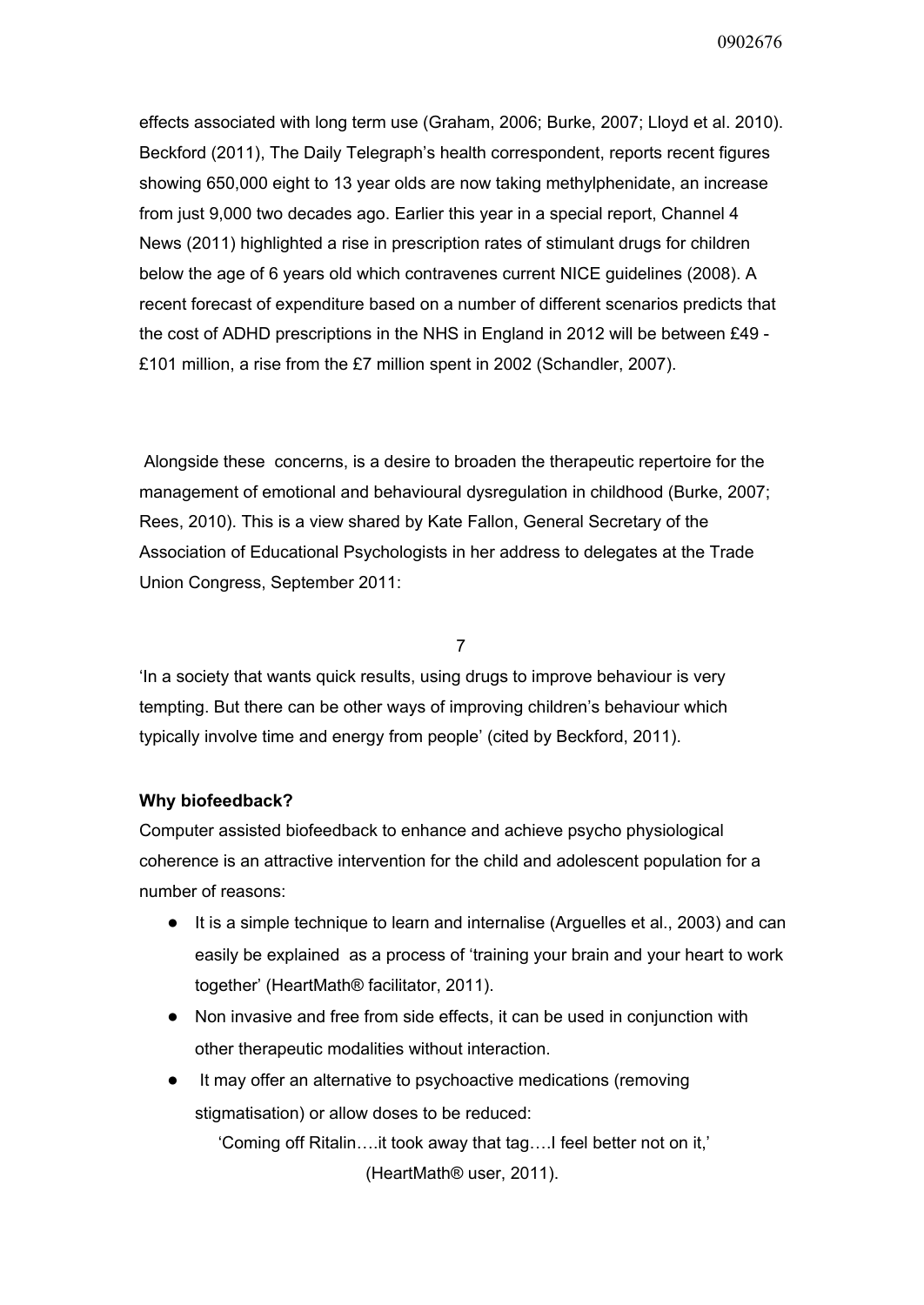effects associated with long term use (Graham, 2006; Burke, 2007; Lloyd et al. 2010). Beckford (2011), The Daily Telegraph's health correspondent, reports recent figures showing 650,000 eight to 13 year olds are now taking methylphenidate, an increase from just 9,000 two decades ago. Earlier this year in a special report, Channel 4 News (2011) highlighted a rise in prescription rates of stimulant drugs for children below the age of 6 years old which contravenes current NICE guidelines (2008). A recent forecast of expenditure based on a number of different scenarios predicts that the cost of ADHD prescriptions in the NHS in England in 2012 will be between £49 -£101 million, a rise from the £7 million spent in 2002 (Schandler, 2007).

Alongside these concerns, is a desire to broaden the therapeutic repertoire for the management of emotional and behavioural dysregulation in childhood (Burke, 2007; Rees, 2010). This is a view shared by Kate Fallon, General Secretary of the Association of Educational Psychologists in her address to delegates at the Trade Union Congress, September 2011:

7

'In a society that wants quick results, using drugs to improve behaviour is very tempting. But there can be other ways of improving children's behaviour which typically involve time and energy from people' (cited by Beckford, 2011).

## **Why biofeedback?**

Computer assisted biofeedback to enhance and achieve psycho physiological coherence is an attractive intervention for the child and adolescent population for a number of reasons:

- It is a simple technique to learn and internalise (Arguelles et al., 2003) and can easily be explained as a process of 'training your brain and your heart to work together' (HeartMath® facilitator, 2011).
- Non invasive and free from side effects, it can be used in conjunction with other therapeutic modalities without interaction.
- It may offer an alternative to psychoactive medications (removing stigmatisation) or allow doses to be reduced: 'Coming off Ritalin….it took away that tag….I feel better not on it,' (HeartMath® user, 2011).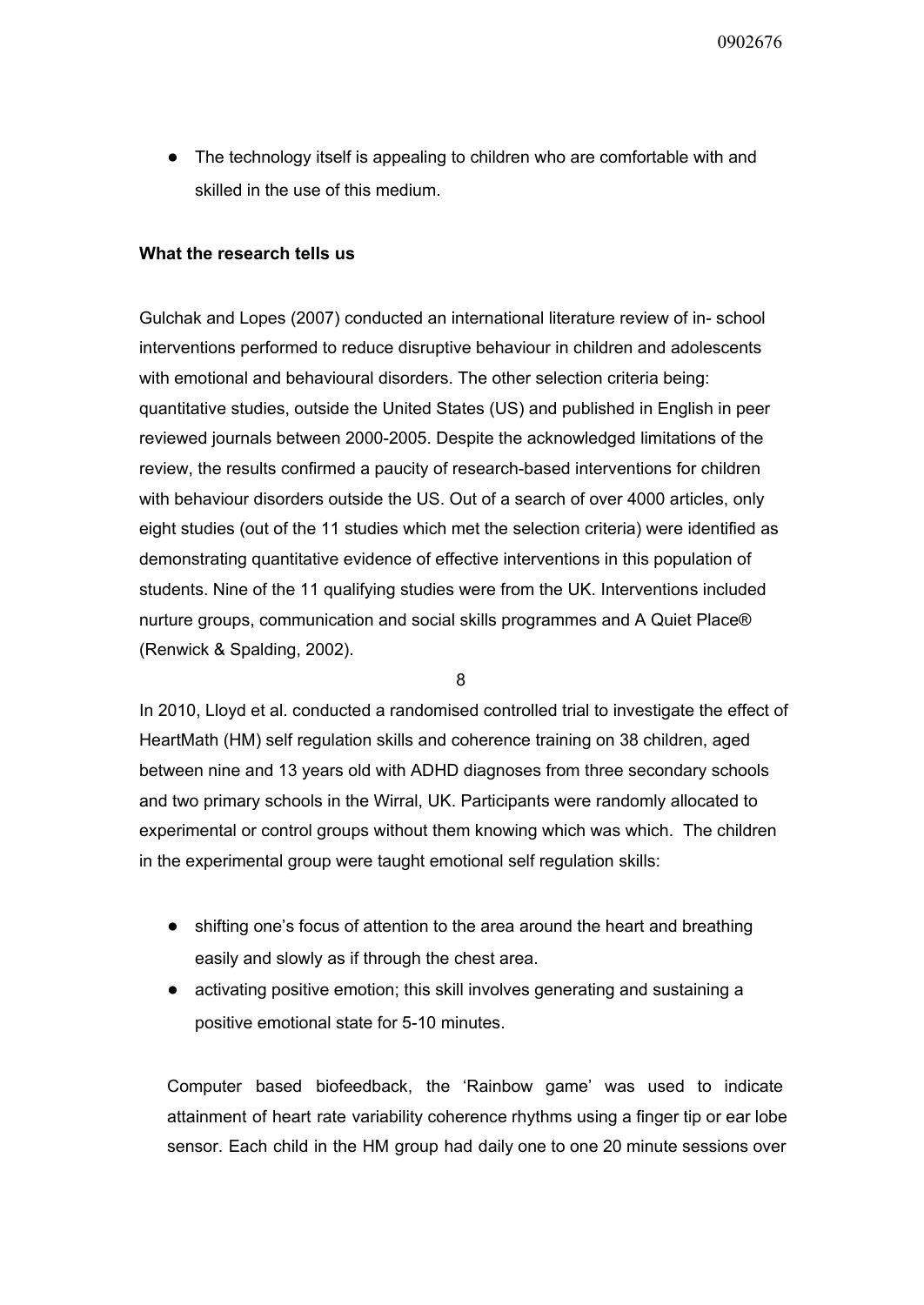● The technology itself is appealing to children who are comfortable with and skilled in the use of this medium.

## **What the research tells us**

Gulchak and Lopes (2007) conducted an international literature review of in-school interventions performed to reduce disruptive behaviour in children and adolescents with emotional and behavioural disorders. The other selection criteria being: quantitative studies, outside the United States (US) and published in English in peer reviewed journals between 2000-2005. Despite the acknowledged limitations of the review, the results confirmed a paucity of research-based interventions for children with behaviour disorders outside the US. Out of a search of over 4000 articles, only eight studies (out of the 11 studies which met the selection criteria) were identified as demonstrating quantitative evidence of effective interventions in this population of students. Nine of the 11 qualifying studies were from the UK. Interventions included nurture groups, communication and social skills programmes and A Quiet Place® (Renwick & Spalding, 2002).

8

In 2010, Lloyd et al. conducted a randomised controlled trial to investigate the effect of HeartMath (HM) self regulation skills and coherence training on 38 children, aged between nine and 13 years old with ADHD diagnoses from three secondary schools and two primary schools in the Wirral, UK. Participants were randomly allocated to experimental or control groups without them knowing which was which. The children in the experimental group were taught emotional self regulation skills:

- shifting one's focus of attention to the area around the heart and breathing easily and slowly as if through the chest area.
- activating positive emotion; this skill involves generating and sustaining a positive emotional state for 5-10 minutes.

Computer based biofeedback, the 'Rainbow game' was used to indicate attainment of heart rate variability coherence rhythms using a finger tip or ear lobe sensor. Each child in the HM group had daily one to one 20 minute sessions over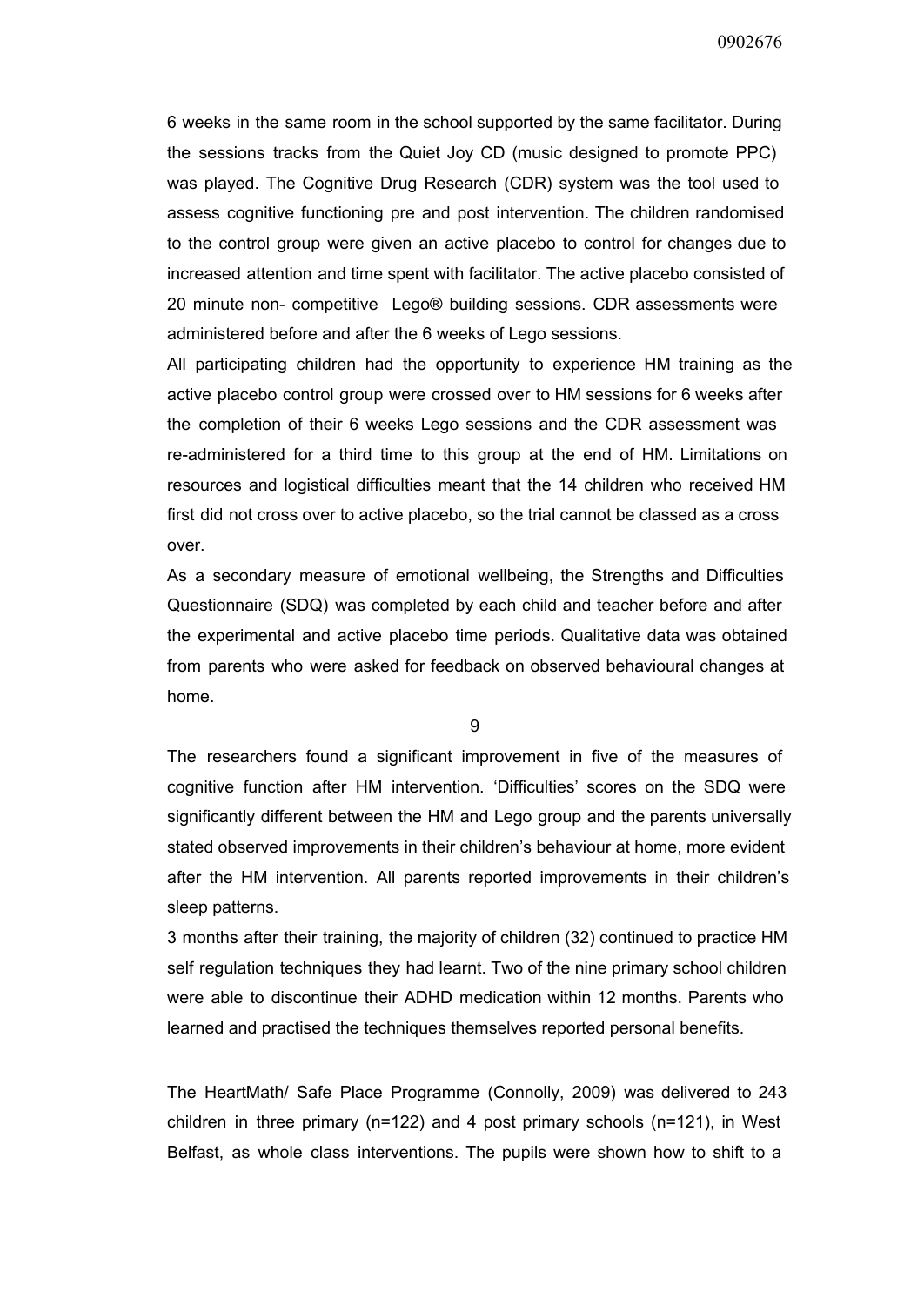6 weeks in the same room in the school supported by the same facilitator. During the sessions tracks from the Quiet Joy CD (music designed to promote PPC) was played. The Cognitive Drug Research (CDR) system was the tool used to assess cognitive functioning pre and post intervention. The children randomised to the control group were given an active placebo to control for changes due to increased attention and time spent with facilitator. The active placebo consisted of 20 minute non competitive Lego® building sessions. CDR assessments were administered before and after the 6 weeks of Lego sessions.

All participating children had the opportunity to experience HM training as the active placebo control group were crossed over to HM sessions for 6 weeks after the completion of their 6 weeks Lego sessions and the CDR assessment was re-administered for a third time to this group at the end of HM. Limitations on resources and logistical difficulties meant that the 14 children who received HM first did not cross over to active placebo, so the trial cannot be classed as a cross over.

As a secondary measure of emotional wellbeing, the Strengths and Difficulties Questionnaire (SDQ) was completed by each child and teacher before and after the experimental and active placebo time periods. Qualitative data was obtained from parents who were asked for feedback on observed behavioural changes at home.

9

The researchers found a significant improvement in five of the measures of cognitive function after HM intervention. 'Difficulties' scores on the SDQ were significantly different between the HM and Lego group and the parents universally stated observed improvements in their children's behaviour at home, more evident after the HM intervention. All parents reported improvements in their children's sleep patterns.

3 months after their training, the majority of children (32) continued to practice HM self regulation techniques they had learnt. Two of the nine primary school children were able to discontinue their ADHD medication within 12 months. Parents who learned and practised the techniques themselves reported personal benefits.

The HeartMath/ Safe Place Programme (Connolly, 2009) was delivered to 243 children in three primary (n=122) and 4 post primary schools (n=121), in West Belfast, as whole class interventions. The pupils were shown how to shift to a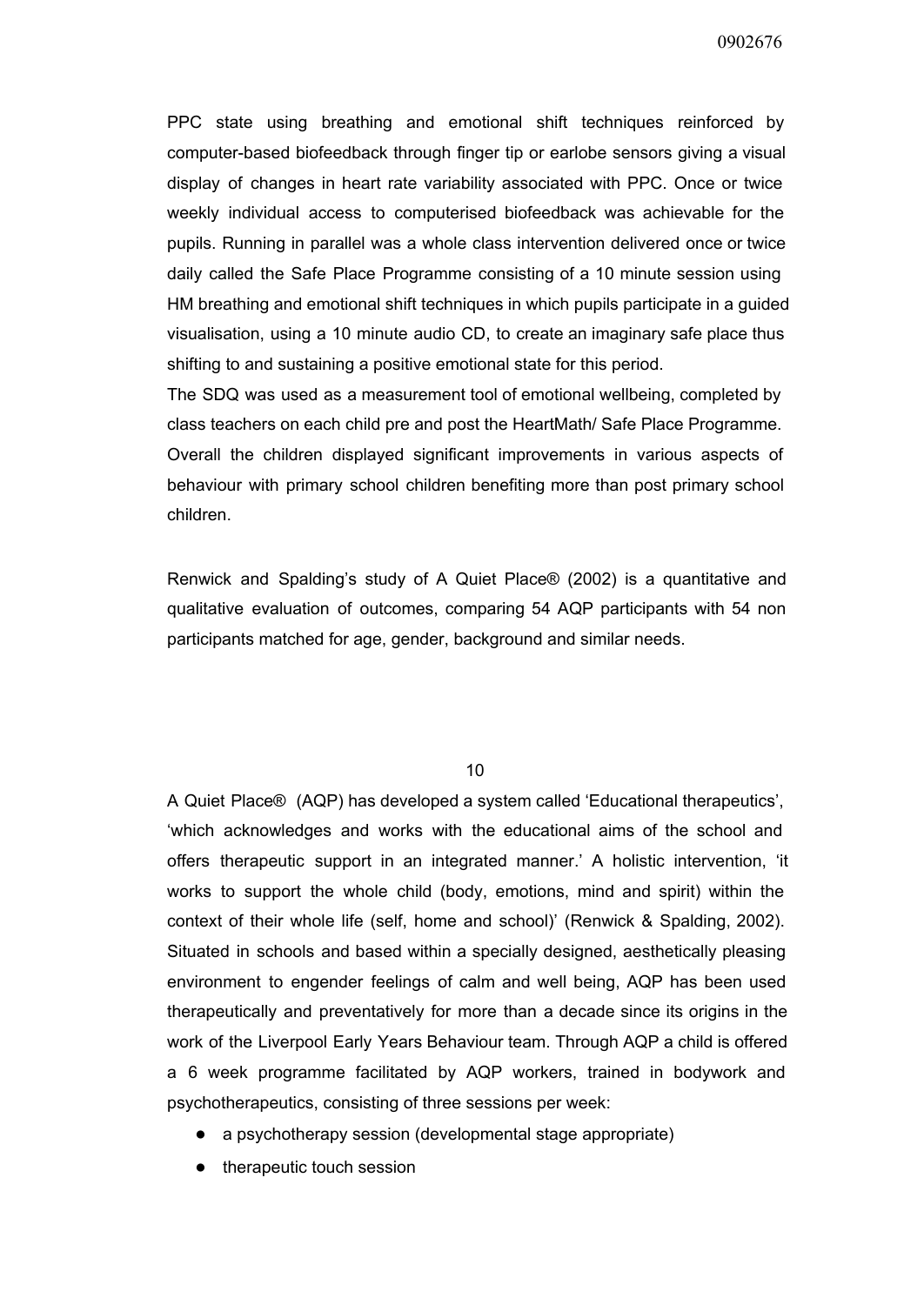PPC state using breathing and emotional shift techniques reinforced by computer-based biofeedback through finger tip or earlobe sensors giving a visual display of changes in heart rate variability associated with PPC. Once or twice weekly individual access to computerised biofeedback was achievable for the pupils. Running in parallel was a whole class intervention delivered once or twice daily called the Safe Place Programme consisting of a 10 minute session using HM breathing and emotional shift techniques in which pupils participate in a guided visualisation, using a 10 minute audio CD, to create an imaginary safe place thus shifting to and sustaining a positive emotional state for this period.

The SDQ was used as a measurement tool of emotional wellbeing, completed by class teachers on each child pre and post the HeartMath/ Safe Place Programme. Overall the children displayed significant improvements in various aspects of behaviour with primary school children benefiting more than post primary school children.

Renwick and Spalding's study of A Quiet Place® (2002) is a quantitative and qualitative evaluation of outcomes, comparing 54 AQP participants with 54 non participants matched for age, gender, background and similar needs.

10

A Quiet Place® (AQP) has developed a system called 'Educational therapeutics', 'which acknowledges and works with the educational aims of the school and offers therapeutic support in an integrated manner.' A holistic intervention, 'it works to support the whole child (body, emotions, mind and spirit) within the context of their whole life (self, home and school)' (Renwick & Spalding, 2002). Situated in schools and based within a specially designed, aesthetically pleasing environment to engender feelings of calm and well being, AQP has been used therapeutically and preventatively for more than a decade since its origins in the work of the Liverpool Early Years Behaviour team. Through AQP a child is offered a 6 week programme facilitated by AQP workers, trained in bodywork and psychotherapeutics, consisting of three sessions per week:

- a psychotherapy session (developmental stage appropriate)
- therapeutic touch session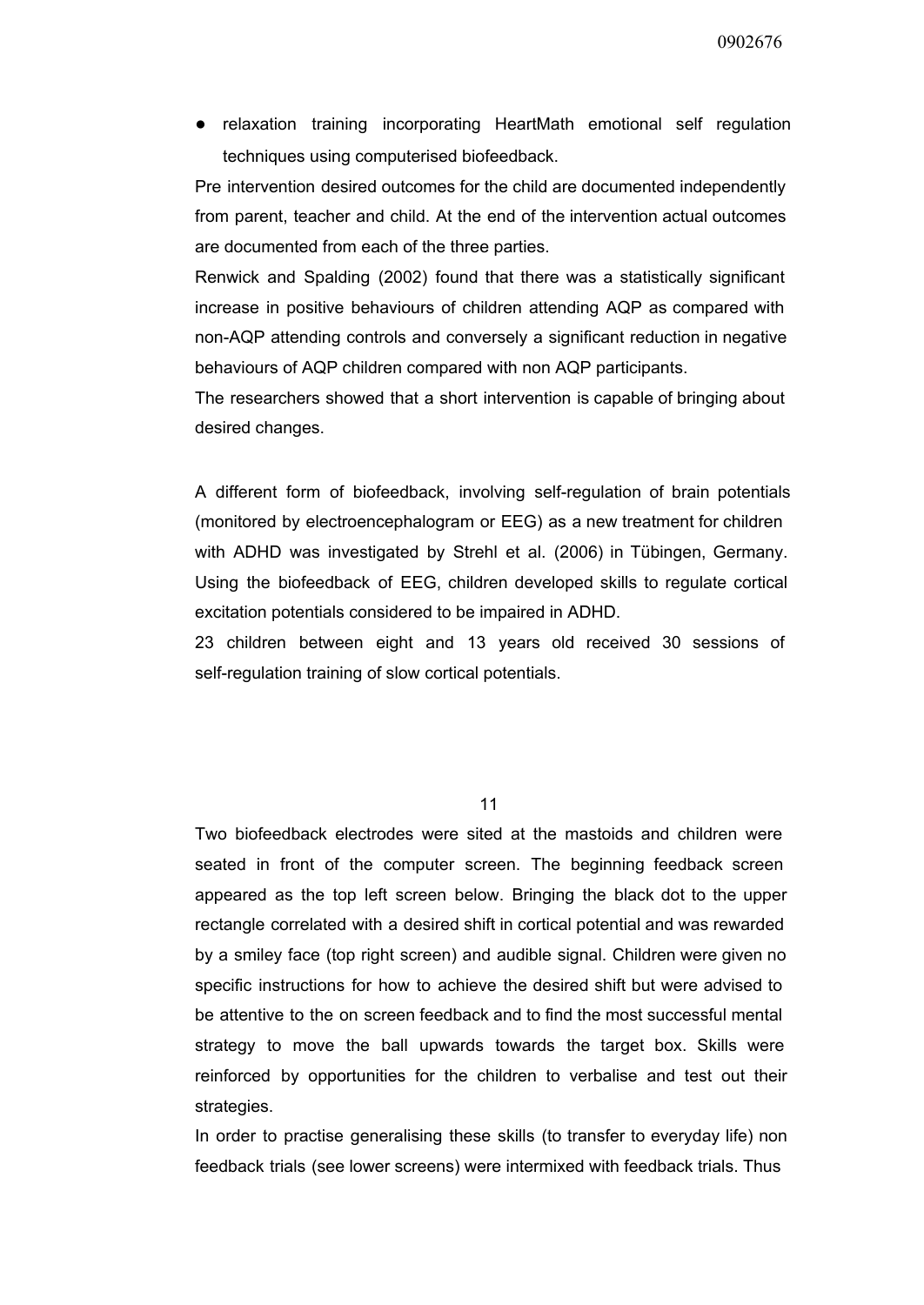● relaxation training incorporating HeartMath emotional self regulation techniques using computerised biofeedback.

Pre intervention desired outcomes for the child are documented independently from parent, teacher and child. At the end of the intervention actual outcomes are documented from each of the three parties.

Renwick and Spalding (2002) found that there was a statistically significant increase in positive behaviours of children attending AQP as compared with nonAQP attending controls and conversely a significant reduction in negative behaviours of AQP children compared with non AQP participants.

The researchers showed that a short intervention is capable of bringing about desired changes.

A different form of biofeedback, involving selfregulation of brain potentials (monitored by electroencephalogram or EEG) as a new treatment for children with ADHD was investigated by Strehl et al. (2006) in Tübingen, Germany. Using the biofeedback of EEG, children developed skills to regulate cortical excitation potentials considered to be impaired in ADHD.

23 children between eight and 13 years old received 30 sessions of self-regulation training of slow cortical potentials.

11

Two biofeedback electrodes were sited at the mastoids and children were seated in front of the computer screen. The beginning feedback screen appeared as the top left screen below. Bringing the black dot to the upper rectangle correlated with a desired shift in cortical potential and was rewarded by a smiley face (top right screen) and audible signal. Children were given no specific instructions for how to achieve the desired shift but were advised to be attentive to the on screen feedback and to find the most successful mental strategy to move the ball upwards towards the target box. Skills were reinforced by opportunities for the children to verbalise and test out their strategies.

In order to practise generalising these skills (to transfer to everyday life) non feedback trials (see lower screens) were intermixed with feedback trials. Thus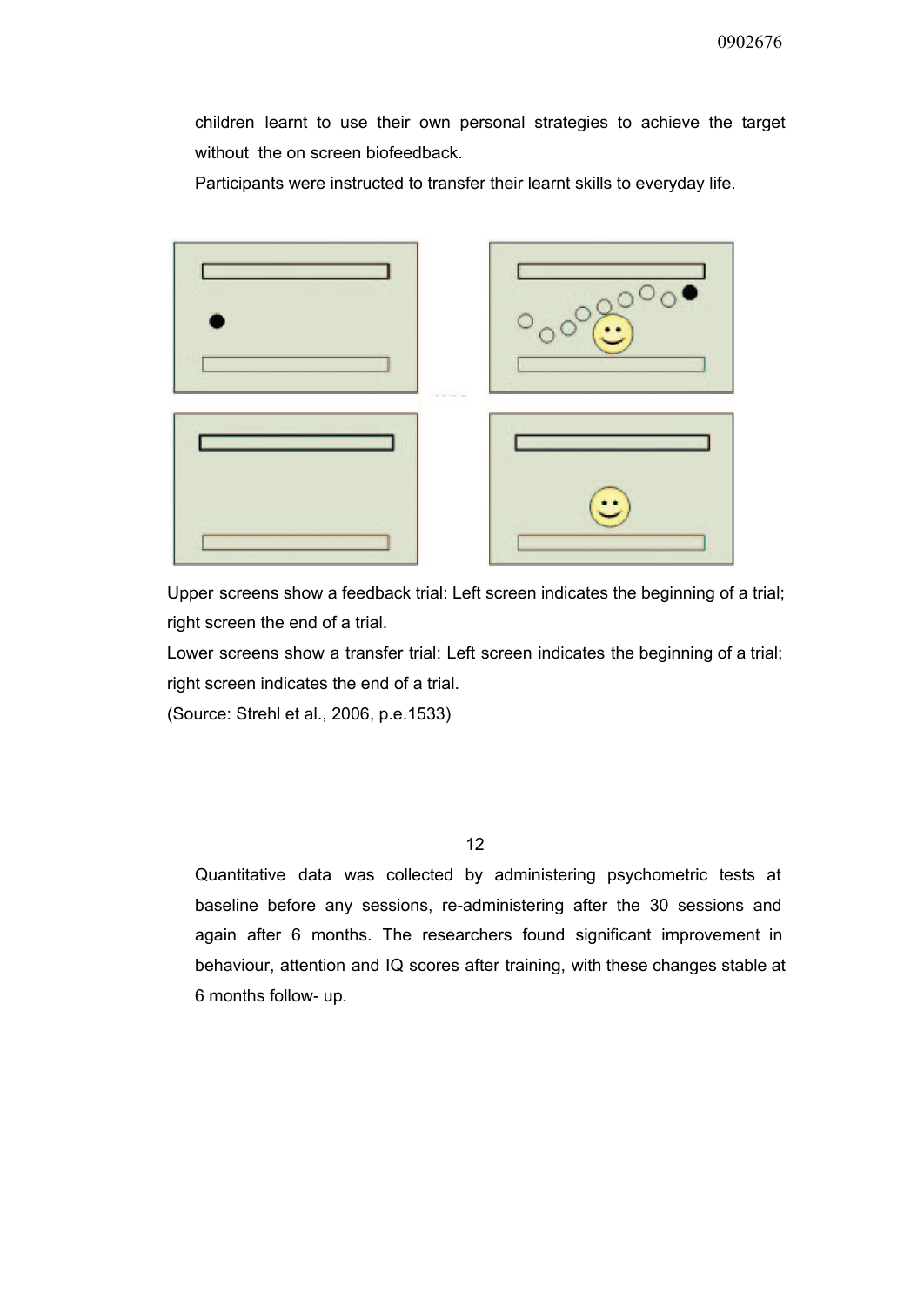children learnt to use their own personal strategies to achieve the target without the on screen biofeedback.

Participants were instructed to transfer their learnt skills to everyday life.



Upper screens show a feedback trial: Left screen indicates the beginning of a trial; right screen the end of a trial.

Lower screens show a transfer trial: Left screen indicates the beginning of a trial; right screen indicates the end of a trial.

(Source: Strehl et al., 2006, p.e.1533)

12

Quantitative data was collected by administering psychometric tests at baseline before any sessions, re-administering after the 30 sessions and again after 6 months. The researchers found significant improvement in behaviour, attention and IQ scores after training, with these changes stable at 6 months follow- up.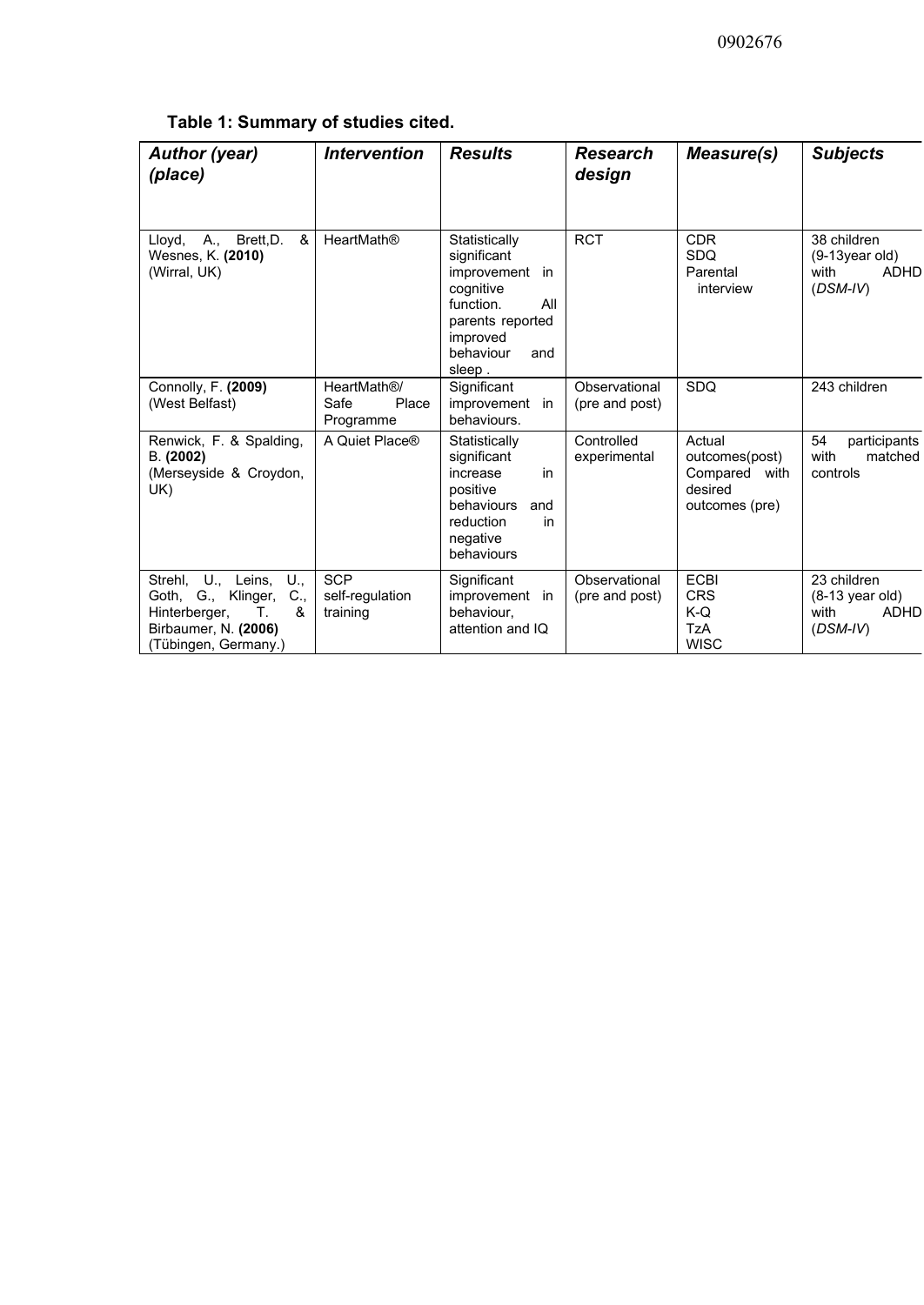|  | Table 1: Summary of studies cited. |  |  |
|--|------------------------------------|--|--|
|  |                                    |  |  |

| <b>Author (year)</b><br>(place)                                                                                                                  | <b>Intervention</b>                       | <b>Results</b>                                                                                                                                | <b>Research</b><br>design       | Measure(s)                                                                | <b>Subjects</b>                                                               |
|--------------------------------------------------------------------------------------------------------------------------------------------------|-------------------------------------------|-----------------------------------------------------------------------------------------------------------------------------------------------|---------------------------------|---------------------------------------------------------------------------|-------------------------------------------------------------------------------|
| A., Brett, D.<br>&<br>Lloyd,<br>Wesnes, K. (2010)<br>(Wirral, UK)                                                                                | <b>HeartMath®</b>                         | Statistically<br>significant<br>improvement in<br>cognitive<br>function.<br>All<br>parents reported<br>improved<br>behaviour<br>and<br>sleep. | <b>RCT</b>                      | <b>CDR</b><br><b>SDQ</b><br>Parental<br>interview                         | 38 children<br>$(9-13$ year old)<br><b>ADHD</b><br>with<br>$(DSM-IV)$         |
| Connolly, F. (2009)<br>(West Belfast)                                                                                                            | HeartMath®/<br>Safe<br>Place<br>Programme | Significant<br>improvement in<br>behaviours.                                                                                                  | Observational<br>(pre and post) | SDQ                                                                       | 243 children                                                                  |
| Renwick, F. & Spalding,<br>B. (2002)<br>(Merseyside & Croydon,<br>UK)                                                                            | A Quiet Place®                            | Statistically<br>significant<br>increase<br>in<br>positive<br>behaviours<br>and<br>reduction<br>in<br>negative<br>behaviours                  | Controlled<br>experimental      | Actual<br>outcomes(post)<br>Compared<br>with<br>desired<br>outcomes (pre) | 54<br>participants<br>with<br>matched<br>controls                             |
| U., Leins,<br>U.,<br>Strehl,<br>$C_{\cdot}$<br>Goth,<br>G., Klinger,<br>&<br>Hinterberger,<br>Т.<br>Birbaumer, N. (2006)<br>(Tübingen, Germany.) | <b>SCP</b><br>self-regulation<br>training | Significant<br>improvement in<br>behaviour.<br>attention and IQ                                                                               | Observational<br>(pre and post) | <b>ECBI</b><br><b>CRS</b><br>$K-Q$<br><b>TzA</b><br><b>WISC</b>           | 23 children<br>$(8-13 \text{ year old})$<br><b>ADHD</b><br>with<br>$(DSM-IV)$ |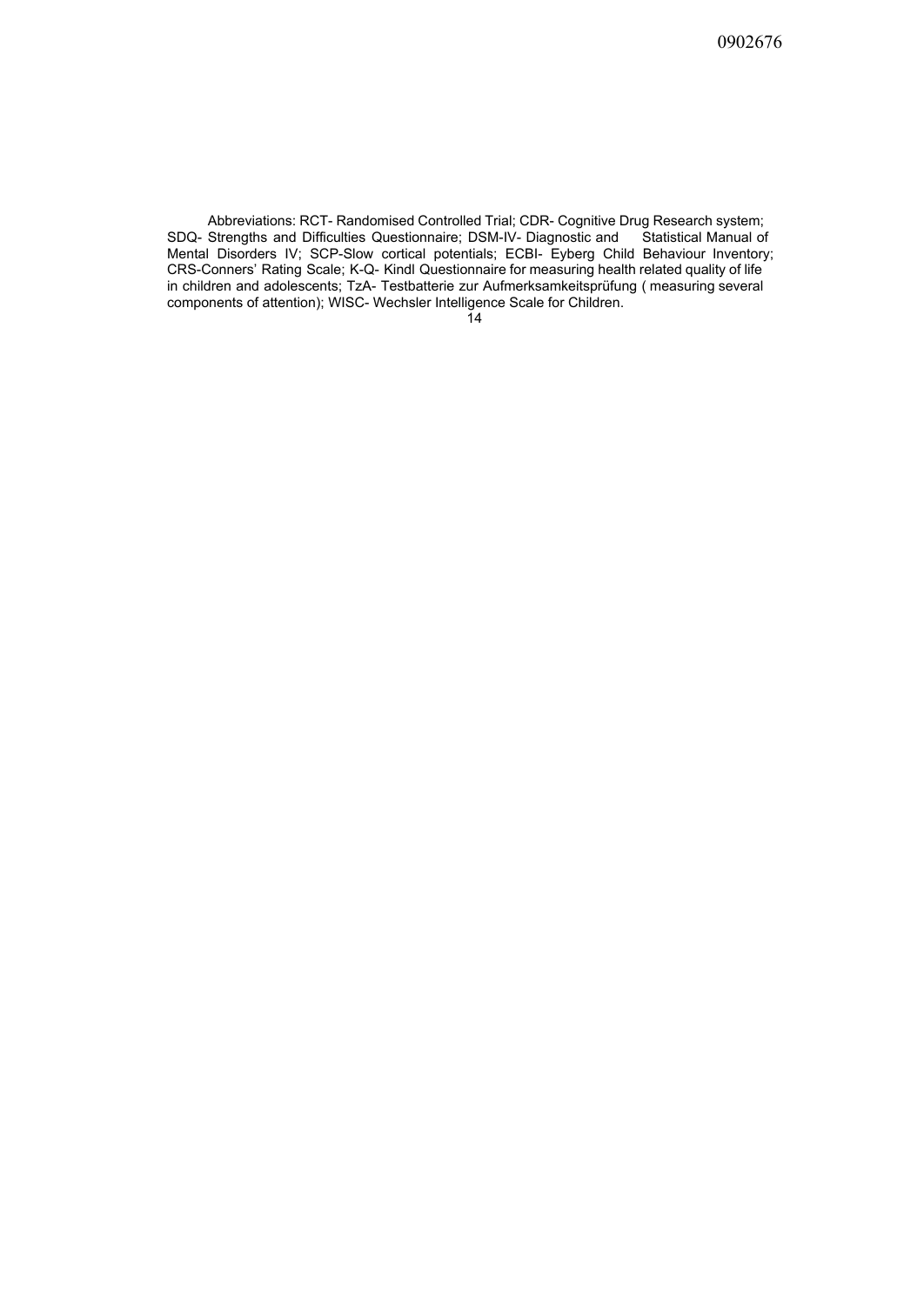Abbreviations: RCT- Randomised Controlled Trial; CDR- Cognitive Drug Research system; SDQ- Strengths and Difficulties Questionnaire; DSM-IV- Diagnostic and Statistical Manual of Mental Disorders IV; SCP-Slow cortical potentials; ECBI- Eyberg Child Behaviour Inventory; CRS-Conners' Rating Scale; K-Q- Kindl Questionnaire for measuring health related quality of life in children and adolescents; TzA- Testbatterie zur Aufmerksamkeitsprüfung ( measuring several components of attention); WISC- Wechsler Intelligence Scale for Children.

 $\overline{1}4$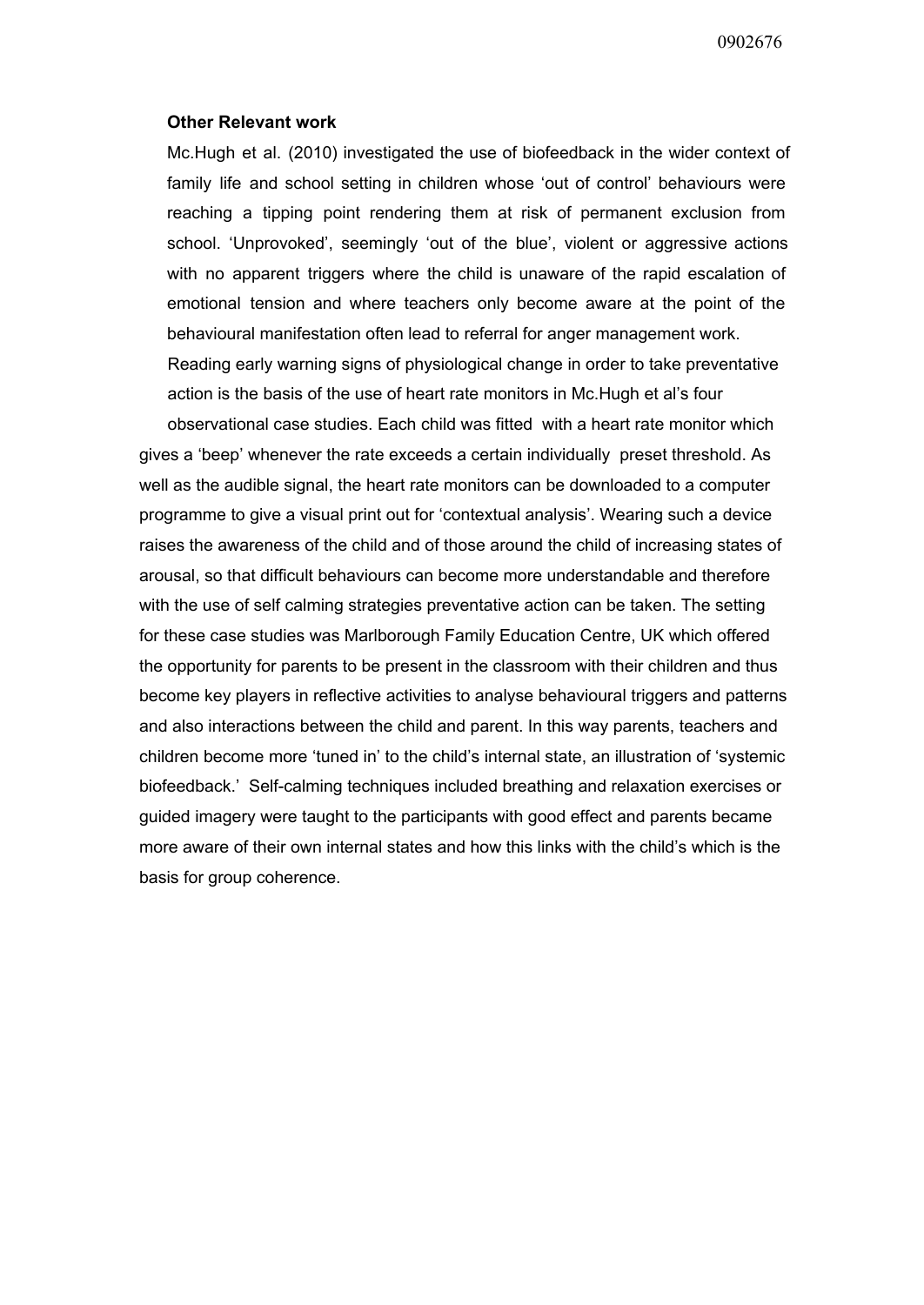## **Other Relevant work**

Mc.Hugh et al. (2010) investigated the use of biofeedback in the wider context of family life and school setting in children whose 'out of control' behaviours were reaching a tipping point rendering them at risk of permanent exclusion from school. 'Unprovoked', seemingly 'out of the blue', violent or aggressive actions with no apparent triggers where the child is unaware of the rapid escalation of emotional tension and where teachers only become aware at the point of the behavioural manifestation often lead to referral for anger management work. Reading early warning signs of physiological change in order to take preventative action is the basis of the use of heart rate monitors in Mc.Hugh et al's four

observational case studies. Each child was fitted with a heart rate monitor which gives a 'beep' whenever the rate exceeds a certain individually preset threshold. As well as the audible signal, the heart rate monitors can be downloaded to a computer programme to give a visual print out for 'contextual analysis'. Wearing such a device raises the awareness of the child and of those around the child of increasing states of arousal, so that difficult behaviours can become more understandable and therefore with the use of self calming strategies preventative action can be taken. The setting for these case studies was Marlborough Family Education Centre, UK which offered the opportunity for parents to be present in the classroom with their children and thus become key players in reflective activities to analyse behavioural triggers and patterns and also interactions between the child and parent. In this way parents, teachers and children become more 'tuned in' to the child's internal state, an illustration of 'systemic biofeedback.' Self-calming techniques included breathing and relaxation exercises or guided imagery were taught to the participants with good effect and parents became more aware of their own internal states and how this links with the child's which is the basis for group coherence.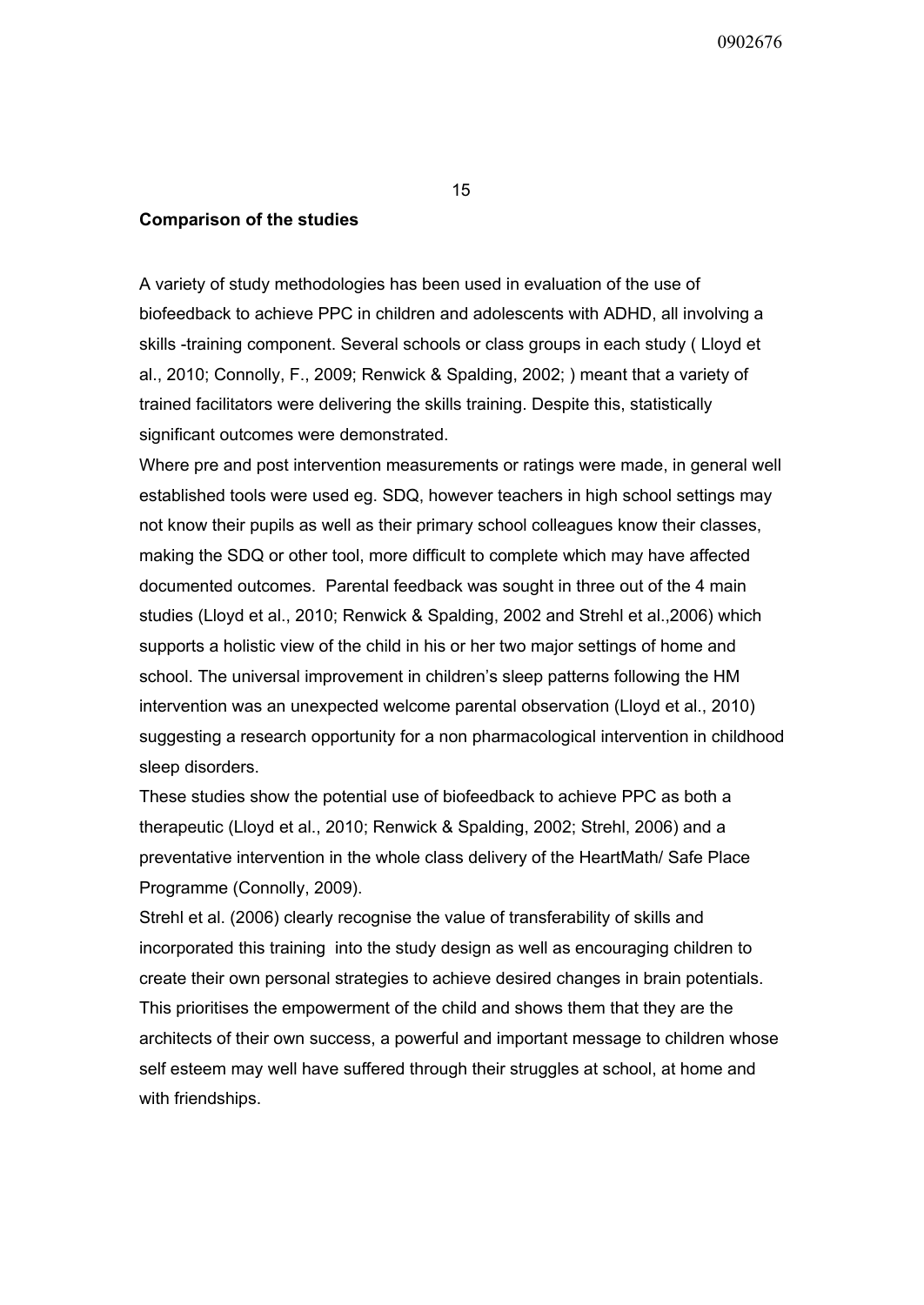## **Comparison of the studies**

A variety of study methodologies has been used in evaluation of the use of biofeedback to achieve PPC in children and adolescents with ADHD, all involving a skills -training component. Several schools or class groups in each study (Lloyd et al., 2010; Connolly, F., 2009; Renwick & Spalding, 2002; ) meant that a variety of trained facilitators were delivering the skills training. Despite this, statistically significant outcomes were demonstrated.

Where pre and post intervention measurements or ratings were made, in general well established tools were used eg. SDQ, however teachers in high school settings may not know their pupils as well as their primary school colleagues know their classes, making the SDQ or other tool, more difficult to complete which may have affected documented outcomes. Parental feedback was sought in three out of the 4 main studies (Lloyd et al., 2010; Renwick & Spalding, 2002 and Strehl et al.,2006) which supports a holistic view of the child in his or her two major settings of home and school. The universal improvement in children's sleep patterns following the HM intervention was an unexpected welcome parental observation (Lloyd et al., 2010) suggesting a research opportunity for a non pharmacological intervention in childhood sleep disorders.

These studies show the potential use of biofeedback to achieve PPC as both a therapeutic (Lloyd et al., 2010; Renwick & Spalding, 2002; Strehl, 2006) and a preventative intervention in the whole class delivery of the HeartMath/ Safe Place Programme (Connolly, 2009).

Strehl et al. (2006) clearly recognise the value of transferability of skills and incorporated this training into the study design as well as encouraging children to create their own personal strategies to achieve desired changes in brain potentials. This prioritises the empowerment of the child and shows them that they are the architects of their own success, a powerful and important message to children whose self esteem may well have suffered through their struggles at school, at home and with friendships.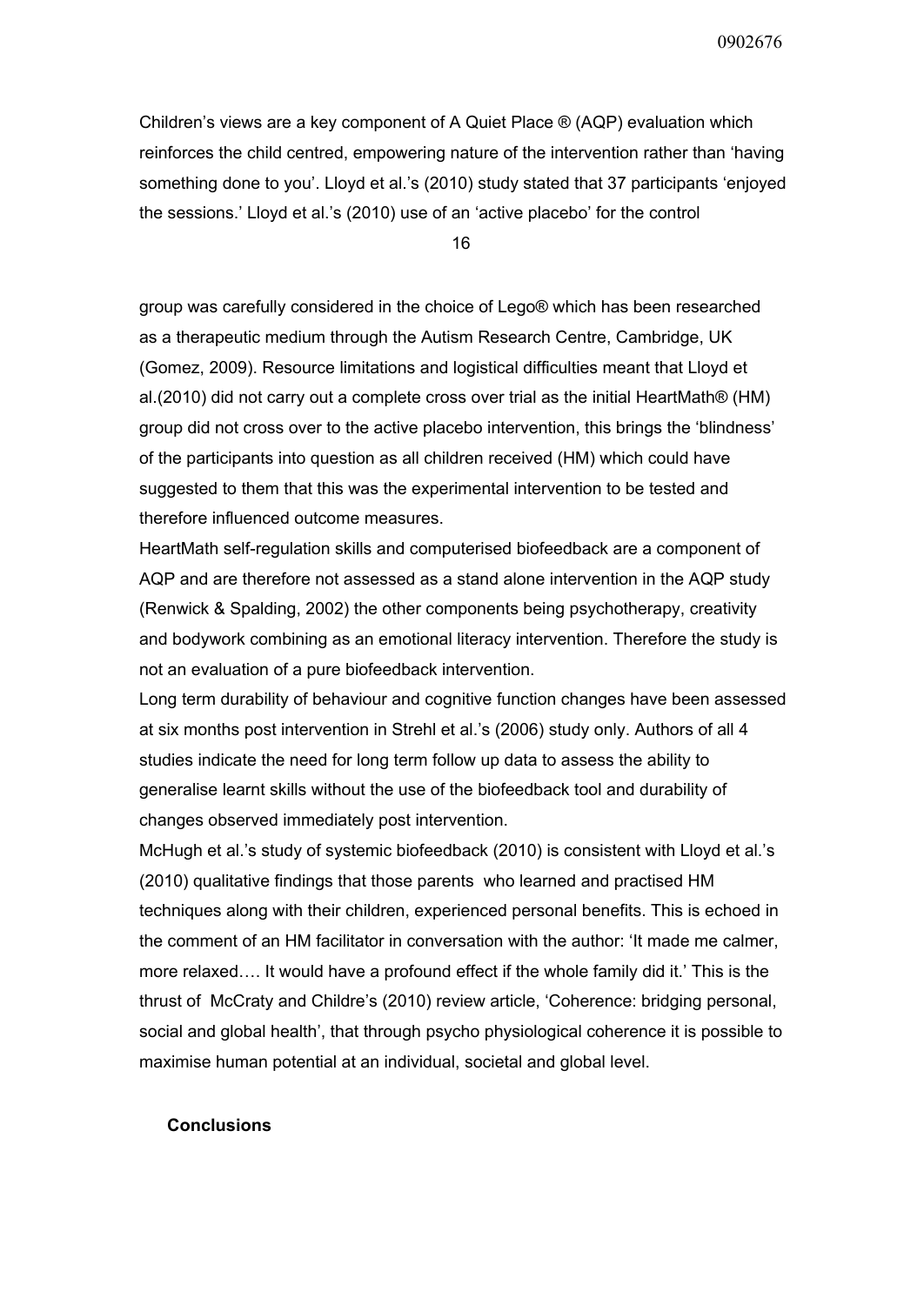Children's views are a key component of A Quiet Place ® (AQP) evaluation which reinforces the child centred, empowering nature of the intervention rather than 'having something done to you'. Lloyd et al.'s (2010) study stated that 37 participants 'enjoyed the sessions.' Lloyd et al.'s (2010) use of an 'active placebo' for the control

16

group was carefully considered in the choice of Lego® which has been researched as a therapeutic medium through the Autism Research Centre, Cambridge, UK (Gomez, 2009). Resource limitations and logistical difficulties meant that Lloyd et al.(2010) did not carry out a complete cross over trial as the initial HeartMath® (HM) group did not cross over to the active placebo intervention, this brings the 'blindness' of the participants into question as all children received (HM) which could have suggested to them that this was the experimental intervention to be tested and therefore influenced outcome measures.

HeartMath self-regulation skills and computerised biofeedback are a component of AQP and are therefore not assessed as a stand alone intervention in the AQP study (Renwick & Spalding, 2002) the other components being psychotherapy, creativity and bodywork combining as an emotional literacy intervention. Therefore the study is not an evaluation of a pure biofeedback intervention.

Long term durability of behaviour and cognitive function changes have been assessed at six months post intervention in Strehl et al.'s (2006) study only. Authors of all 4 studies indicate the need for long term follow up data to assess the ability to generalise learnt skills without the use of the biofeedback tool and durability of changes observed immediately post intervention.

McHugh et al.'s study of systemic biofeedback (2010) is consistent with Lloyd et al.'s (2010) qualitative findings that those parents who learned and practised HM techniques along with their children, experienced personal benefits. This is echoed in the comment of an HM facilitator in conversation with the author: 'It made me calmer, more relaxed…. It would have a profound effect if the whole family did it.' This is the thrust of McCraty and Childre's (2010) review article, 'Coherence: bridging personal, social and global health', that through psycho physiological coherence it is possible to maximise human potential at an individual, societal and global level.

## **Conclusions**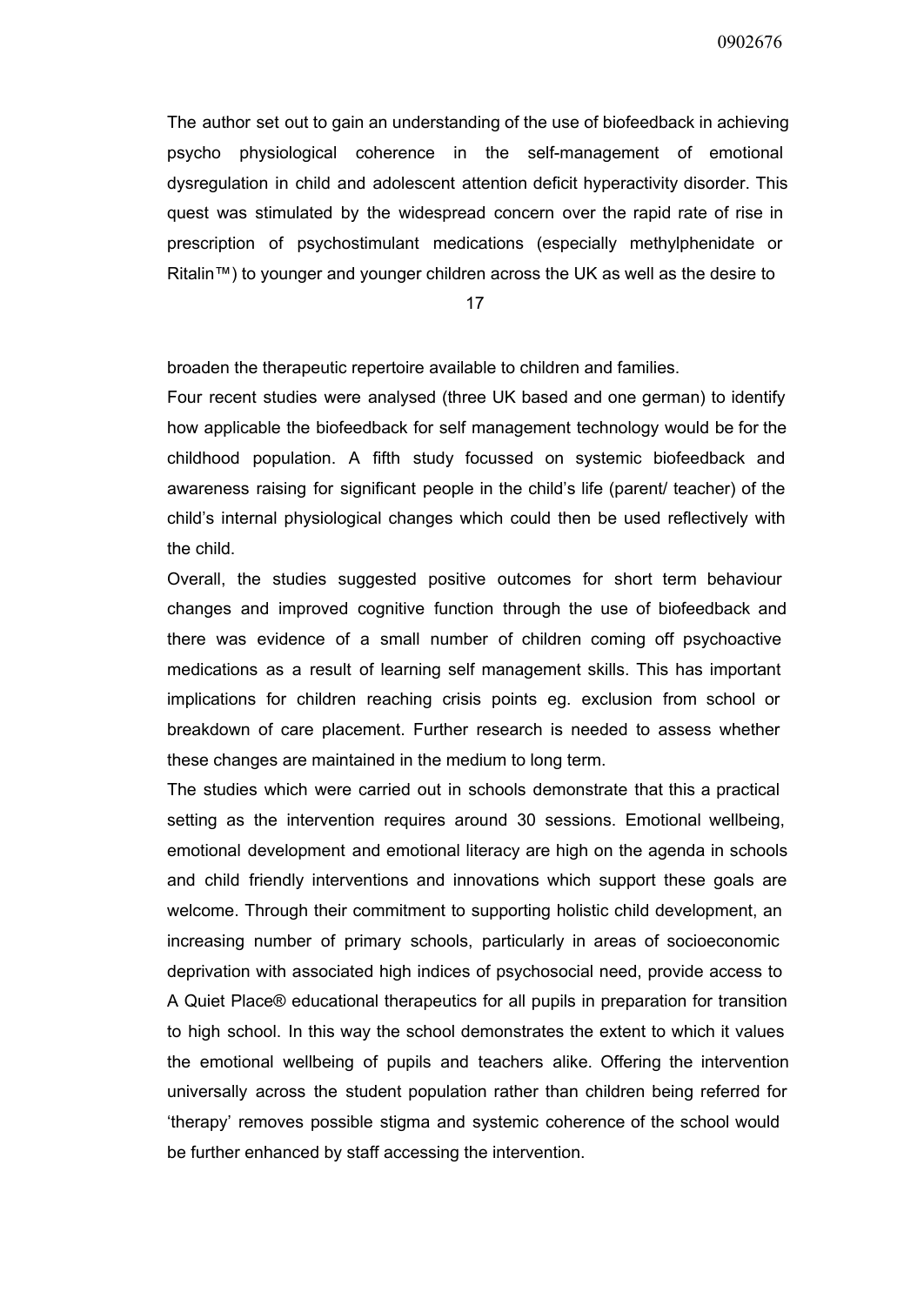The author set out to gain an understanding of the use of biofeedback in achieving psycho physiological coherence in the self-management of emotional dysregulation in child and adolescent attention deficit hyperactivity disorder. This quest was stimulated by the widespread concern over the rapid rate of rise in prescription of psychostimulant medications (especially methylphenidate or Ritalin™) to younger and younger children across the UK as well as the desire to

17

broaden the therapeutic repertoire available to children and families.

Four recent studies were analysed (three UK based and one german) to identify how applicable the biofeedback for self management technology would be for the childhood population. A fifth study focussed on systemic biofeedback and awareness raising for significant people in the child's life (parent/ teacher) of the child's internal physiological changes which could then be used reflectively with the child.

Overall, the studies suggested positive outcomes for short term behaviour changes and improved cognitive function through the use of biofeedback and there was evidence of a small number of children coming off psychoactive medications as a result of learning self management skills. This has important implications for children reaching crisis points eg. exclusion from school or breakdown of care placement. Further research is needed to assess whether these changes are maintained in the medium to long term.

The studies which were carried out in schools demonstrate that this a practical setting as the intervention requires around 30 sessions. Emotional wellbeing, emotional development and emotional literacy are high on the agenda in schools and child friendly interventions and innovations which support these goals are welcome. Through their commitment to supporting holistic child development, an increasing number of primary schools, particularly in areas of socioeconomic deprivation with associated high indices of psychosocial need, provide access to A Quiet Place® educational therapeutics for all pupils in preparation for transition to high school. In this way the school demonstrates the extent to which it values the emotional wellbeing of pupils and teachers alike. Offering the intervention universally across the student population rather than children being referred for 'therapy' removes possible stigma and systemic coherence of the school would be further enhanced by staff accessing the intervention.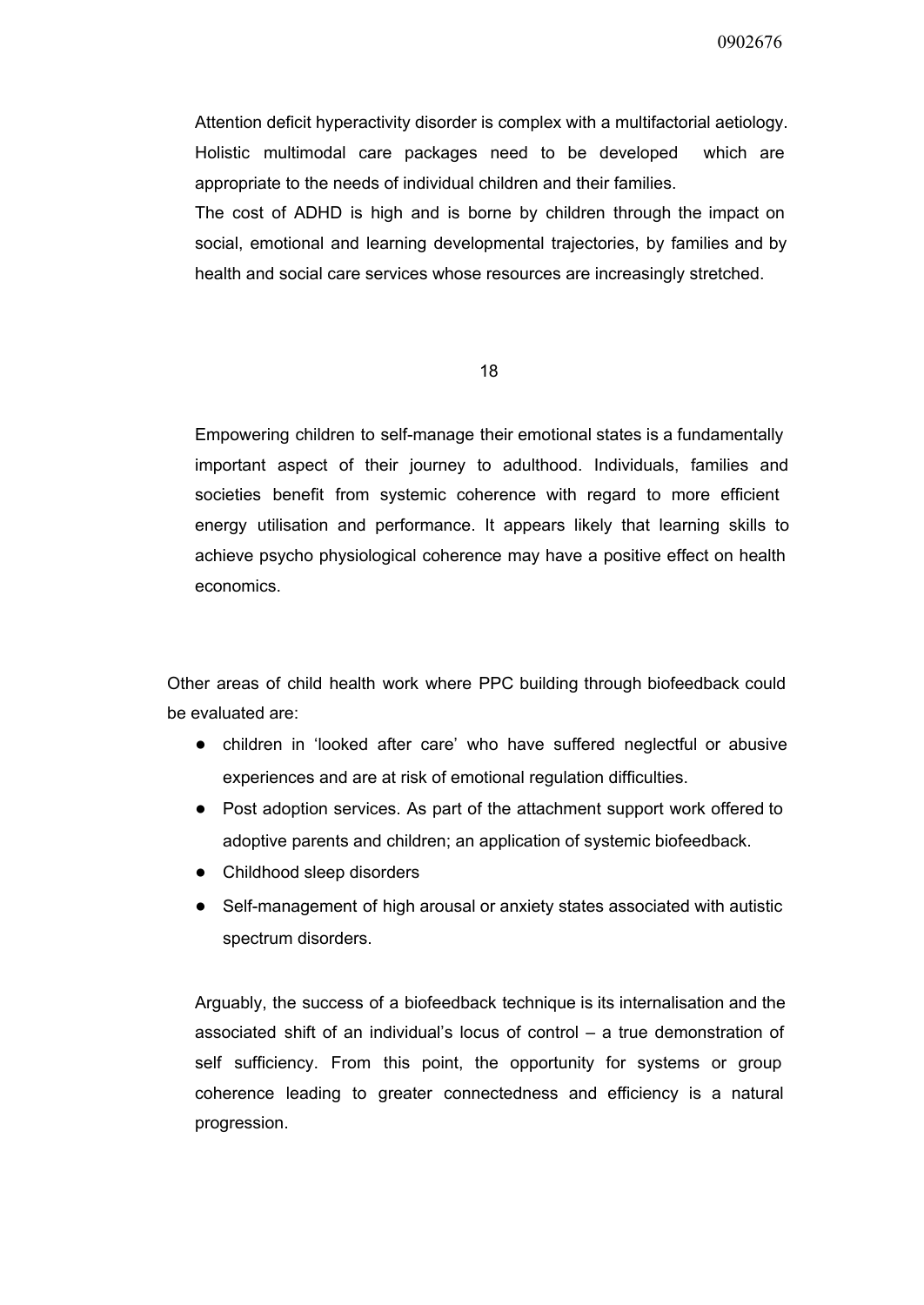Attention deficit hyperactivity disorder is complex with a multifactorial aetiology. Holistic multimodal care packages need to be developed which are appropriate to the needs of individual children and their families.

The cost of ADHD is high and is borne by children through the impact on social, emotional and learning developmental trajectories, by families and by health and social care services whose resources are increasingly stretched.

18

Empowering children to self-manage their emotional states is a fundamentally important aspect of their journey to adulthood. Individuals, families and societies benefit from systemic coherence with regard to more efficient energy utilisation and performance. It appears likely that learning skills to achieve psycho physiological coherence may have a positive effect on health economics.

Other areas of child health work where PPC building through biofeedback could be evaluated are:

- children in 'looked after care' who have suffered neglectful or abusive experiences and are at risk of emotional regulation difficulties.
- Post adoption services. As part of the attachment support work offered to adoptive parents and children; an application of systemic biofeedback.
- Childhood sleep disorders
- Self-management of high arousal or anxiety states associated with autistic spectrum disorders.

Arguably, the success of a biofeedback technique is its internalisation and the associated shift of an individual's locus of control – a true demonstration of self sufficiency. From this point, the opportunity for systems or group coherence leading to greater connectedness and efficiency is a natural progression.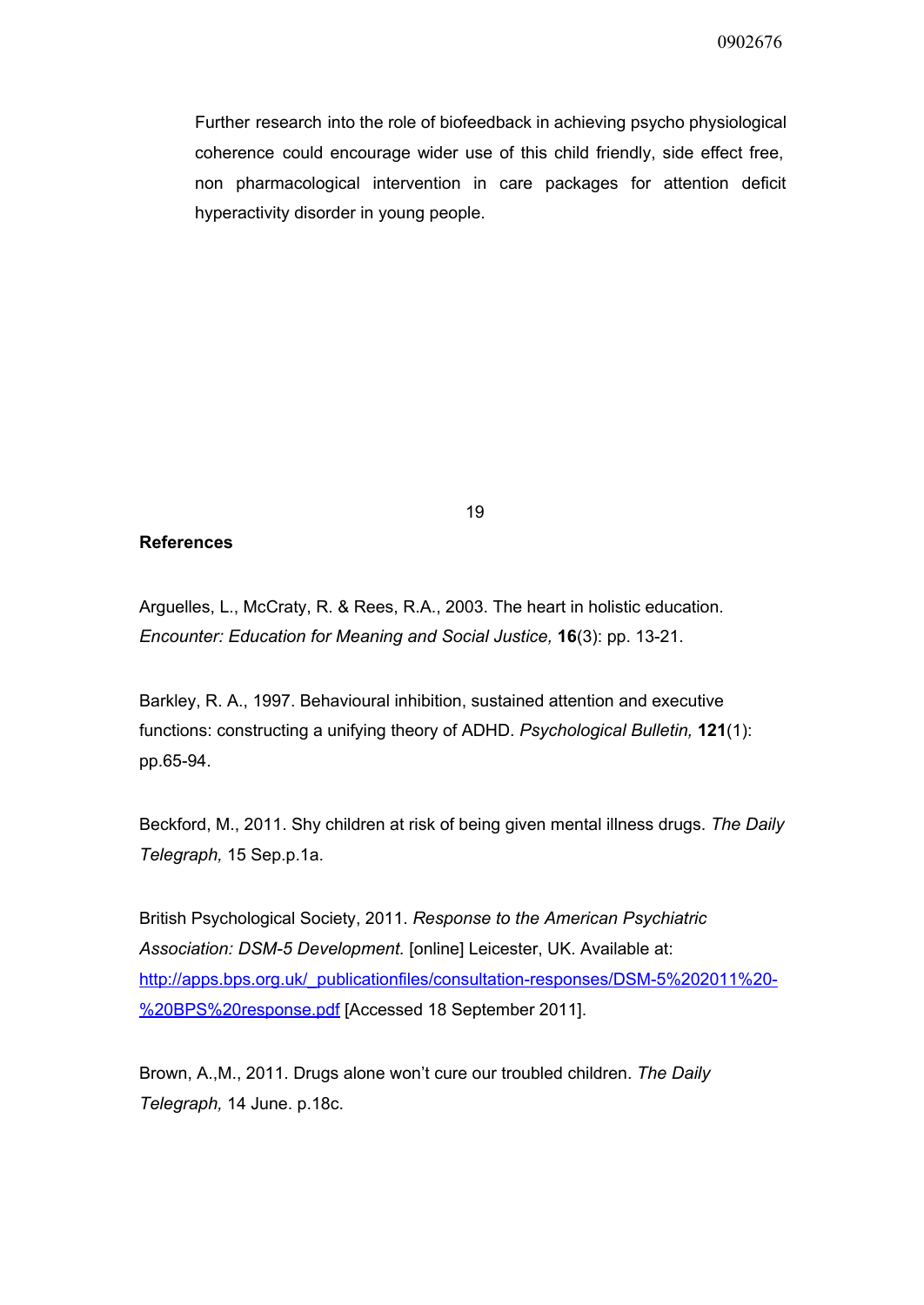Further research into the role of biofeedback in achieving psycho physiological coherence could encourage wider use of this child friendly, side effect free, non pharmacological intervention in care packages for attention deficit hyperactivity disorder in young people.

## **References**

Arguelles, L., McCraty, R. & Rees, R.A., 2003. The heart in holistic education. *Encounter: Education for Meaning and Social Justice,* **16**(3): pp. 13-21.

Barkley, R. A., 1997. Behavioural inhibition, sustained attention and executive functions: constructing a unifying theory of ADHD. *Psychological Bulletin,* **121**(1): pp.65-94.

Beckford, M., 2011. Shy children at risk of being given mental illness drugs. *The Daily Telegraph,* 15 Sep.p.1a.

British Psychological Society, 2011. *Response to the American Psychiatric Association: DSM5 Development.* [online] Leicester, UK. Available at: http://apps.bps.org.uk/\_publicationfiles/consultation-responses/DSM-5%202011%20-[%20BPS%20response.pdf](http://www.google.com/url?q=http%3A%2F%2Fapps.bps.org.uk%2F_publicationfiles%2Fconsultation-responses%2FDSM-5%25202011%2520-%2520BPS%2520response.pdf&sa=D&sntz=1&usg=AFQjCNF3mKc25Ef8N-UUMqFJ1OXhEopjjw) [Accessed 18 September 2011].

Brown, A.,M., 2011. Drugs alone won't cure our troubled children. *The Daily Telegraph,* 14 June. p.18c.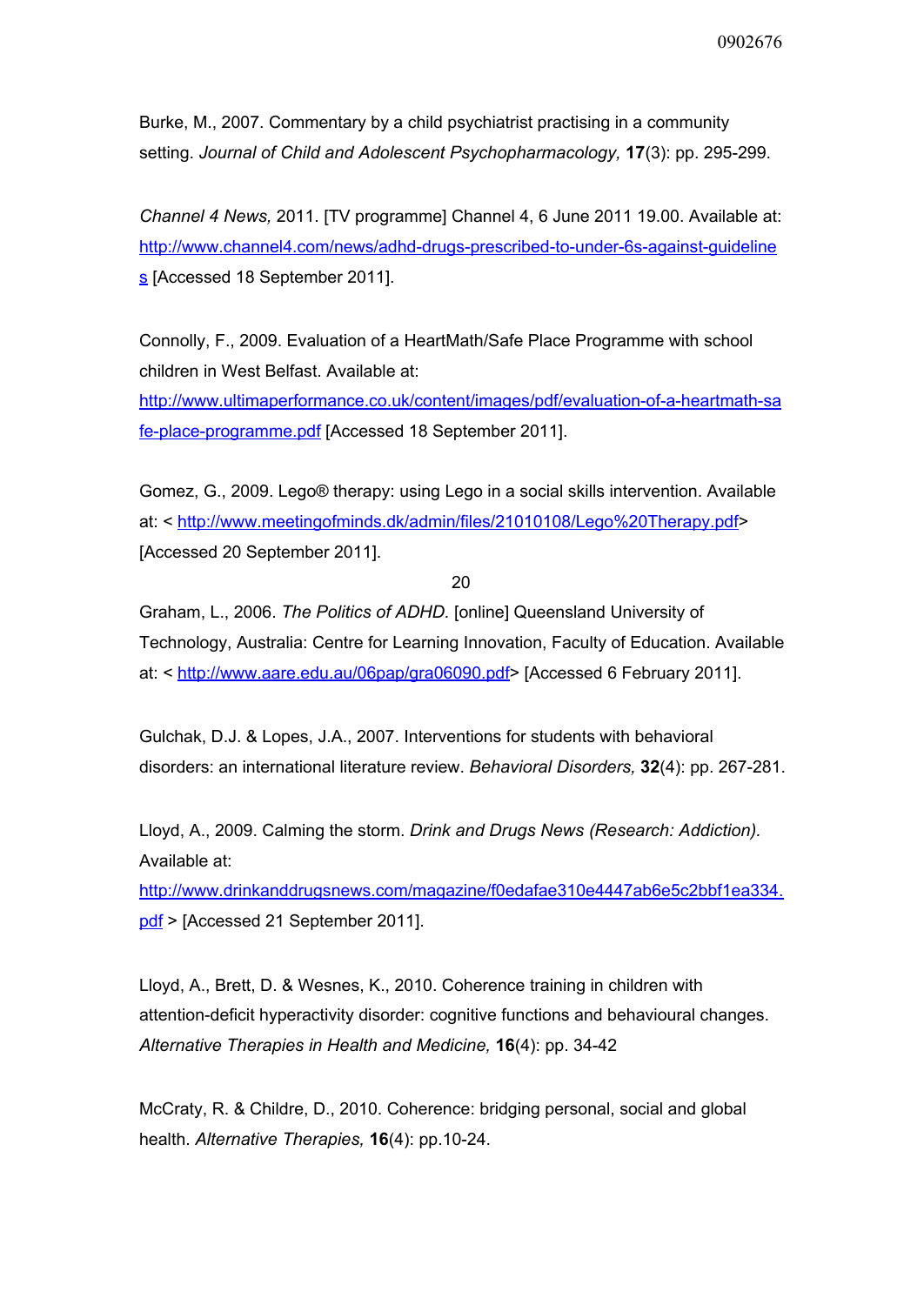Burke, M., 2007. Commentary by a child psychiatrist practising in a community setting. *Journal of Child and Adolescent Psychopharmacology,* **17**(3): pp. 295299.

*Channel 4 News,* 2011. [TV programme] Channel 4, 6 June 2011 19.00. Available at: http://www.channel4.com/news/adhd-drugs-prescribed-to-under-6s-against-quideline [s](http://www.google.com/url?q=http%3A%2F%2Fwww.channel4.com%2Fnews%2Fadhd-drugs-prescribed-to-under-6s-against-guidelines&sa=D&sntz=1&usg=AFQjCNGQHm7AD_P6I7JEn3Bq1g2QjMEbKg) [Accessed 18 September 2011].

Connolly, F., 2009. Evaluation of a HeartMath/Safe Place Programme with school children in West Belfast. Available at:

http://www.ultimaperformance.co.uk/content/images/pdf/evaluation-of-a-heartmath-sa fe-place-programme.pdf [Accessed 18 September 2011].

Gomez, G., 2009. Lego® therapy: using Lego in a social skills intervention. Available at: < [http://www.meetingofminds.dk/admin/files/21010108/Lego%20Therapy.pdf>](http://www.google.com/url?q=http%3A%2F%2Fwww.meetingofminds.dk%2Fadmin%2Ffiles%2F21010108%2FLego%2520Therapy.pdf&sa=D&sntz=1&usg=AFQjCNGMSWrd4cf6rAuCqmj7jpzS8NfHYQ) [Accessed 20 September 2011].

20

Graham, L., 2006. *The Politics of ADHD.* [online] Queensland University of Technology, Australia: Centre for Learning Innovation, Faculty of Education. Available at: < [http://www.aare.edu.au/06pap/gra06090.pdf>](http://www.google.com/url?q=http%3A%2F%2Fwww.aare.edu.au%2F06pap%2Fgra06090.pdf&sa=D&sntz=1&usg=AFQjCNE3U3EfEFHOcqWFZvVa7uJemYqa1A) [Accessed 6 February 2011].

Gulchak, D.J. & Lopes, J.A., 2007. Interventions for students with behavioral disorders: an international literature review. *Behavioral Disorders,* **32**(4): pp. 267281.

Lloyd, A., 2009. Calming the storm. *Drink and Drugs News (Research: Addiction).* Available at:

[http://www.drinkanddrugsnews.com/magazine/f0edafae310e4447ab6e5c2bbf1ea334.](http://www.google.com/url?q=http%3A%2F%2Fwww.drinkanddrugsnews.com%2Fmagazine%2Ff0edafae310e4447ab6e5c2bbf1ea334.pdf&sa=D&sntz=1&usg=AFQjCNHa-QXjAvrTbuQrExeaw30pIvqJHg) [pdf](http://www.google.com/url?q=http%3A%2F%2Fwww.drinkanddrugsnews.com%2Fmagazine%2Ff0edafae310e4447ab6e5c2bbf1ea334.pdf&sa=D&sntz=1&usg=AFQjCNHa-QXjAvrTbuQrExeaw30pIvqJHg) > [Accessed 21 September 2011].

Lloyd, A., Brett, D. & Wesnes, K., 2010. Coherence training in children with attention-deficit hyperactivity disorder: cognitive functions and behavioural changes. *Alternative Therapies in Health and Medicine,* **16**(4): pp. 3442

McCraty, R. & Childre, D., 2010. Coherence: bridging personal, social and global health. *Alternative Therapies*, **16**(4): pp.10-24.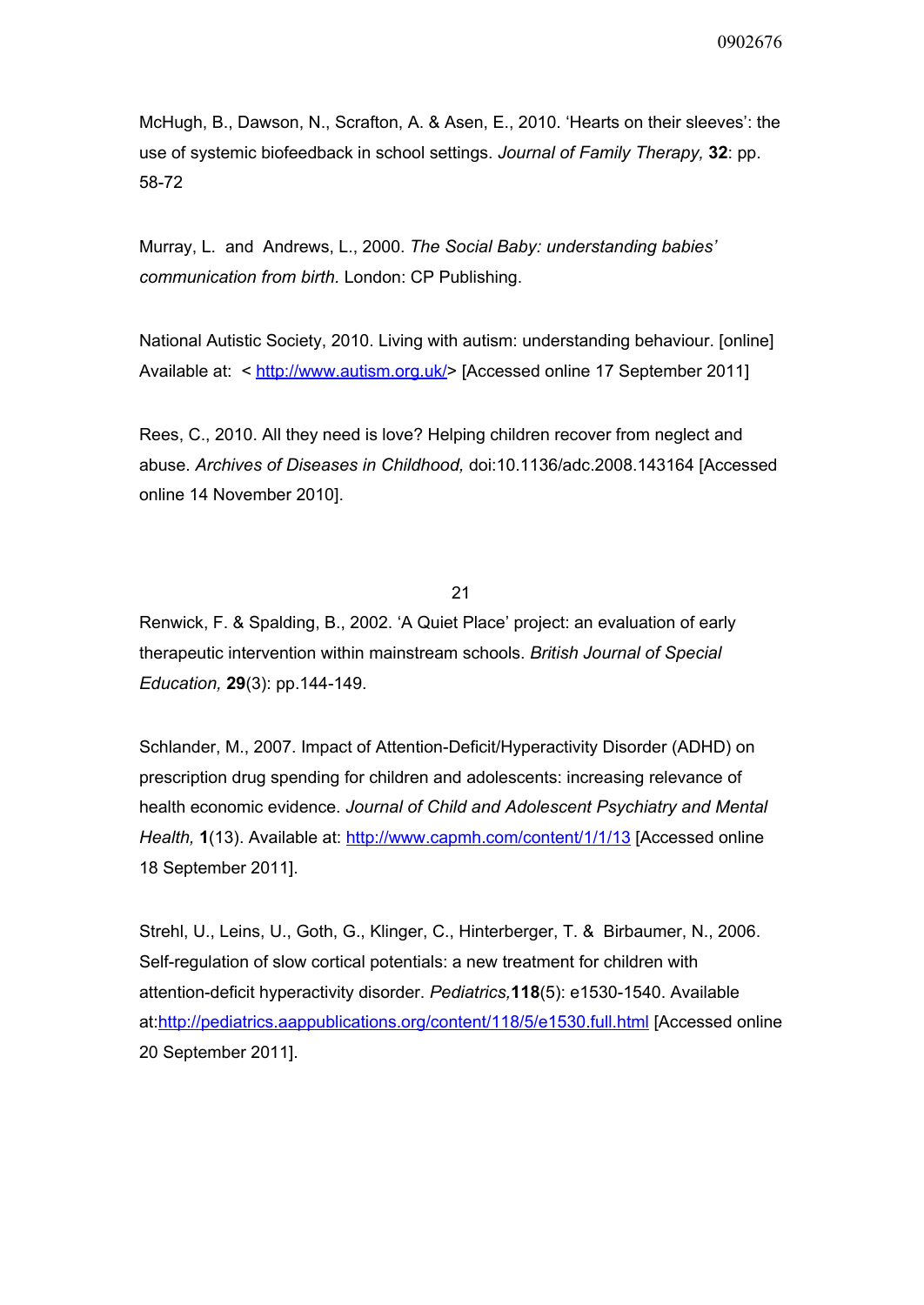McHugh, B., Dawson, N., Scrafton, A. & Asen, E., 2010. 'Hearts on their sleeves': the use of systemic biofeedback in school settings. *Journal of Family Therapy,* **32**: pp. 58-72

Murray, L. and Andrews, L., 2000. *The Social Baby: understanding babies' communication from birth.* London: CP Publishing.

National Autistic Society, 2010. Living with autism: understanding behaviour. [online] Available at: < [http://www.autism.org.uk/>](http://www.google.com/url?q=http%3A%2F%2Fwww.autism.org.uk%2F&sa=D&sntz=1&usg=AFQjCNFCMz4Tzu68AVWTvL_aMKKtc9mvQg) [Accessed online 17 September 2011]

Rees, C., 2010. All they need is love? Helping children recover from neglect and abuse. *Archives of Diseases in Childhood,* doi:10.1136/adc.2008.143164 [Accessed online 14 November 2010].

21

Renwick, F. & Spalding, B., 2002. 'A Quiet Place' project: an evaluation of early therapeutic intervention within mainstream schools. *British Journal of Special Education,* **29**(3): pp.144-149.

Schlander, M., 2007. Impact of Attention-Deficit/Hyperactivity Disorder (ADHD) on prescription drug spending for children and adolescents: increasing relevance of health economic evidence. *Journal of Child and Adolescent Psychiatry and Mental Health,* **1**(13). Available at: [http://www.capmh.com/content/1/1/13](http://www.google.com/url?q=http%3A%2F%2Fwww.capmh.com%2Fcontent%2F1%2F1%2F13&sa=D&sntz=1&usg=AFQjCNGyOm09jGEfa4_WC4MLi4Q69v9A1w) [Accessed online 18 September 2011].

Strehl, U., Leins, U., Goth, G., Klinger, C., Hinterberger, T. & Birbaumer, N., 2006. Self-regulation of slow cortical potentials: a new treatment for children with attention-deficit hyperactivity disorder. *Pediatrics*,**118**(5): e1530-1540. Available at:[http://pediatrics.aappublications.org/content/118/5/e1530.full.html](http://www.google.com/url?q=http%3A%2F%2Fpediatrics.aappublications.org%2Fcontent%2F118%2F5%2Fe1530.full.html&sa=D&sntz=1&usg=AFQjCNG3LNfaf5qglXuRb0U7DOySE0gBYA) [Accessed online 20 September 2011].